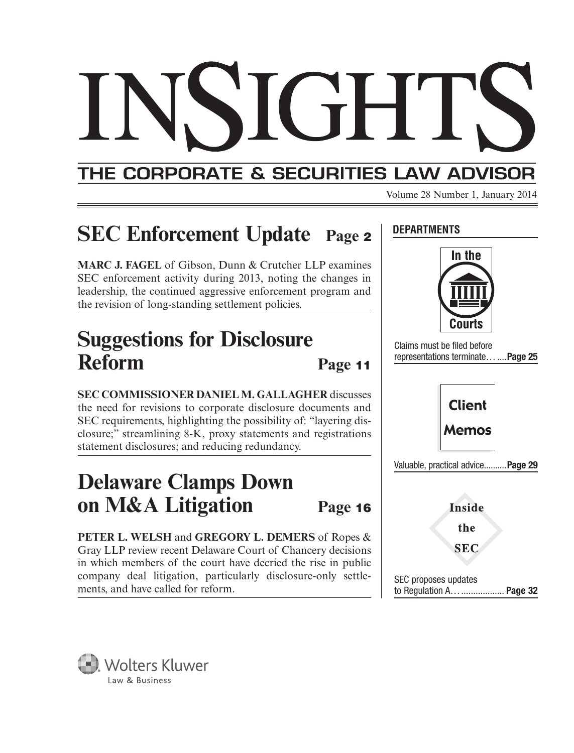## THE CORPORATE & SECURITIES LAW ADVISOR

Volume 28 Number 1, January 2014

**DEPARTMENTS**

## **SEC Enforcement Update Page <sup>2</sup>**

**MARC J. FAGEL** of Gibson, Dunn & Crutcher LLP examines SEC enforcement activity during 2013, noting the changes in leadership, the continued aggressive enforcement program and the revision of long-standing settlement policies.

## **Suggestions for Disclosure**  Reform Page 11

**SEC COMMISSIONER DANIEL M. GALLAGHER** discusses the need for revisions to corporate disclosure documents and SEC requirements, highlighting the possibility of: "layering disclosure;" streamlining 8-K, proxy statements and registrations statement disclosures; and reducing redundancy.

## **Delaware Clamps Down on M&A Litigation Page <sup>16</sup>**

**PETER L. WELSH** and **GREGORY L. DEMERS** of Ropes & Gray LLP review recent Delaware Court of Chancery decisions in which members of the court have decried the rise in public company deal litigation, particularly disclosure-only settlecompany dear nugation, particularly disclosure-only settle-<br>ments, and have called for reform.



Claims must be filed before representations terminate… ....**Page 25**



**Inside** the

**SEC** 

to Regulation A… .................. **Page 32**

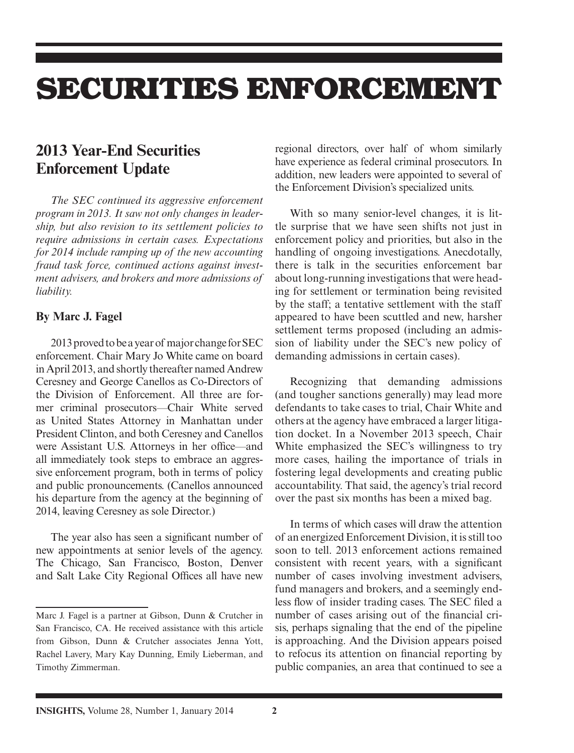## **SECURITIES ENFORCEMENT**

## **2013 Year-End Securities Enforcement Update**

*The SEC continued its aggressive enforcement program in 2013. It saw not only changes in leadership, but also revision to its settlement policies to require admissions in certain cases. Expectations for 2014 include ramping up of the new accounting fraud task force, continued actions against investment advisers, and brokers and more admissions of liability.*

#### **By Marc J. Fagel**

 2013 proved to be a year of major change for SEC enforcement. Chair Mary Jo White came on board in April 2013, and shortly thereafter named Andrew Ceresney and George Canellos as Co-Directors of the Division of Enforcement. All three are former criminal prosecutors—Chair White served as United States Attorney in Manhattan under President Clinton, and both Ceresney and Canellos were Assistant U.S. Attorneys in her office—and all immediately took steps to embrace an aggressive enforcement program, both in terms of policy and public pronouncements. (Canellos announced his departure from the agency at the beginning of 2014, leaving Ceresney as sole Director.)

The year also has seen a significant number of new appointments at senior levels of the agency. The Chicago, San Francisco, Boston, Denver and Salt Lake City Regional Offices all have new regional directors, over half of whom similarly have experience as federal criminal prosecutors. In addition, new leaders were appointed to several of the Enforcement Division's specialized units.

 With so many senior-level changes, it is little surprise that we have seen shifts not just in enforcement policy and priorities, but also in the handling of ongoing investigations. Anecdotally, there is talk in the securities enforcement bar about long-running investigations that were heading for settlement or termination being revisited by the staff; a tentative settlement with the staff appeared to have been scuttled and new, harsher settlement terms proposed (including an admission of liability under the SEC's new policy of demanding admissions in certain cases).

 Recognizing that demanding admissions (and tougher sanctions generally) may lead more defendants to take cases to trial, Chair White and others at the agency have embraced a larger litigation docket. In a November 2013 speech, Chair White emphasized the SEC's willingness to try more cases, hailing the importance of trials in fostering legal developments and creating public accountability. That said, the agency's trial record over the past six months has been a mixed bag.

 In terms of which cases will draw the attention of an energized Enforcement Division, it is still too soon to tell. 2013 enforcement actions remained consistent with recent years, with a significant number of cases involving investment advisers, fund managers and brokers, and a seemingly endless flow of insider trading cases. The SEC filed a number of cases arising out of the financial crisis, perhaps signaling that the end of the pipeline is approaching. And the Division appears poised to refocus its attention on financial reporting by public companies, an area that continued to see a

Marc J. Fagel is a partner at Gibson, Dunn & Crutcher in San Francisco, CA. He received assistance with this article from Gibson, Dunn & Crutcher associates Jenna Yott, Rachel Lavery, Mary Kay Dunning, Emily Lieberman, and Timothy Zimmerman.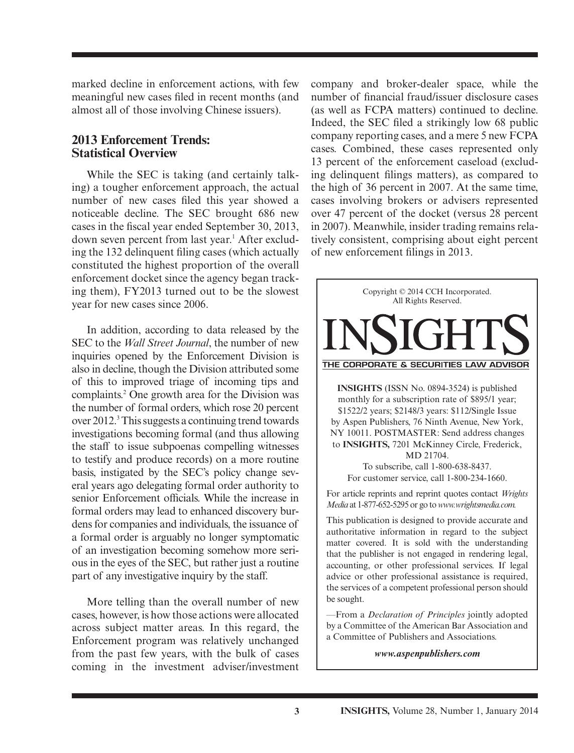marked decline in enforcement actions, with few meaningful new cases filed in recent months (and almost all of those involving Chinese issuers).

#### **2013 Enforcement Trends: Statistical Overview**

 While the SEC is taking (and certainly talking) a tougher enforcement approach, the actual number of new cases filed this year showed a noticeable decline. The SEC brought 686 new cases in the fiscal year ended September 30, 2013, down seven percent from last year.<sup>1</sup> After excluding the 132 delinquent filing cases (which actually constituted the highest proportion of the overall enforcement docket since the agency began tracking them), FY2013 turned out to be the slowest year for new cases since 2006.

 In addition, according to data released by the SEC to the *Wall Street Journal*, the number of new inquiries opened by the Enforcement Division is also in decline, though the Division attributed some of this to improved triage of incoming tips and complaints.<sup>2</sup> One growth area for the Division was the number of formal orders, which rose 20 percent over 2012.<sup>3</sup> This suggests a continuing trend towards investigations becoming formal (and thus allowing the staff to issue subpoenas compelling witnesses to testify and produce records) on a more routine basis, instigated by the SEC's policy change several years ago delegating formal order authority to senior Enforcement officials. While the increase in formal orders may lead to enhanced discovery burdens for companies and individuals, the issuance of a formal order is arguably no longer symptomatic of an investigation becoming somehow more serious in the eyes of the SEC, but rather just a routine part of any investigative inquiry by the staff.

 More telling than the overall number of new cases, however, is how those actions were allocated across subject matter areas. In this regard, the Enforcement program was relatively unchanged from the past few years, with the bulk of cases coming in the investment adviser/investment

company and broker-dealer space, while the number of financial fraud/issuer disclosure cases (as well as FCPA matters) continued to decline. Indeed, the SEC filed a strikingly low 68 public company reporting cases, and a mere 5 new FCPA cases. Combined, these cases represented only 13 percent of the enforcement caseload (excluding delinquent filings matters), as compared to the high of 36 percent in 2007. At the same time, cases involving brokers or advisers represented over 47 percent of the docket (versus 28 percent in 2007). Meanwhile, insider trading remains relatively consistent, comprising about eight percent of new enforcement filings in 2013.



—From a *Declaration of Principles* jointly adopted by a Committee of the American Bar Association and a Committee of Publishers and Associations.

*www.aspenpublishers.com*

be sought.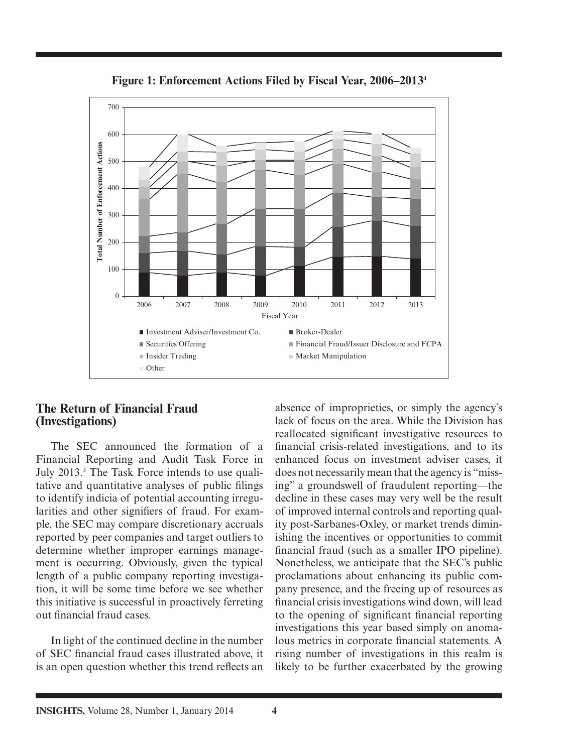

**Figure 1: Enforcement Actions Filed by Fiscal Year, 2006–2013 4**

#### **The Return of Financial Fraud (Investigations)**

 The SEC announced the formation of a Financial Reporting and Audit Task Force in July 2013.<sup>5</sup> The Task Force intends to use qualitative and quantitative analyses of public filings to identify indicia of potential accounting irregularities and other signifiers of fraud. For example, the SEC may compare discretionary accruals reported by peer companies and target outliers to determine whether improper earnings management is occurring. Obviously, given the typical length of a public company reporting investigation, it will be some time before we see whether this initiative is successful in proactively ferreting out financial fraud cases.

 In light of the continued decline in the number of SEC financial fraud cases illustrated above, it is an open question whether this trend reflects an

absence of improprieties, or simply the agency's lack of focus on the area. While the Division has reallocated significant investigative resources to financial crisis-related investigations, and to its enhanced focus on investment adviser cases, it does not necessarily mean that the agency is "missing" a groundswell of fraudulent reporting—the decline in these cases may very well be the result of improved internal controls and reporting quality post-Sarbanes-Oxley, or market trends diminishing the incentives or opportunities to commit financial fraud (such as a smaller IPO pipeline). Nonetheless, we anticipate that the SEC's public proclamations about enhancing its public company presence, and the freeing up of resources as financial crisis investigations wind down, will lead to the opening of significant financial reporting investigations this year based simply on anomalous metrics in corporate financial statements. A rising number of investigations in this realm is likely to be further exacerbated by the growing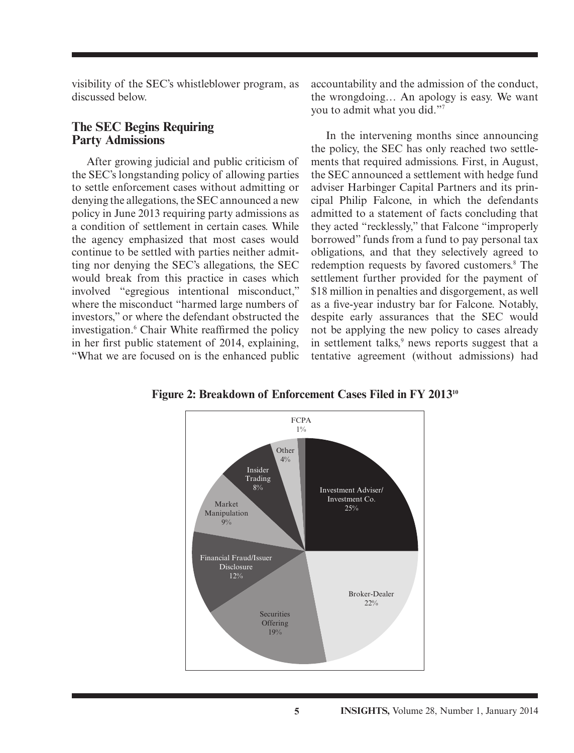visibility of the SEC's whistleblower program, as discussed below.

#### **The SEC Begins Requiring Party Admissions**

 After growing judicial and public criticism of the SEC's longstanding policy of allowing parties to settle enforcement cases without admitting or denying the allegations, the SEC announced a new policy in June 2013 requiring party admissions as a condition of settlement in certain cases. While the agency emphasized that most cases would continue to be settled with parties neither admitting nor denying the SEC's allegations, the SEC would break from this practice in cases which involved "egregious intentional misconduct," where the misconduct "harmed large numbers of investors," or where the defendant obstructed the investigation.<sup>6</sup> Chair White reaffirmed the policy in her first public statement of 2014, explaining, "What we are focused on is the enhanced public

accountability and the admission of the conduct, the wrongdoing… An apology is easy. We want you to admit what you did."7

 In the intervening months since announcing the policy, the SEC has only reached two settlements that required admissions. First, in August, the SEC announced a settlement with hedge fund adviser Harbinger Capital Partners and its principal Philip Falcone, in which the defendants admitted to a statement of facts concluding that they acted "recklessly," that Falcone "improperly borrowed" funds from a fund to pay personal tax obligations, and that they selectively agreed to redemption requests by favored customers.<sup>8</sup> The settlement further provided for the payment of \$18 million in penalties and disgorgement, as well as a five-year industry bar for Falcone. Notably, despite early assurances that the SEC would not be applying the new policy to cases already in settlement talks,<sup>9</sup> news reports suggest that a tentative agreement (without admissions) had

**Figure 2: Breakdown of Enforcement Cases Filed in FY 201310**

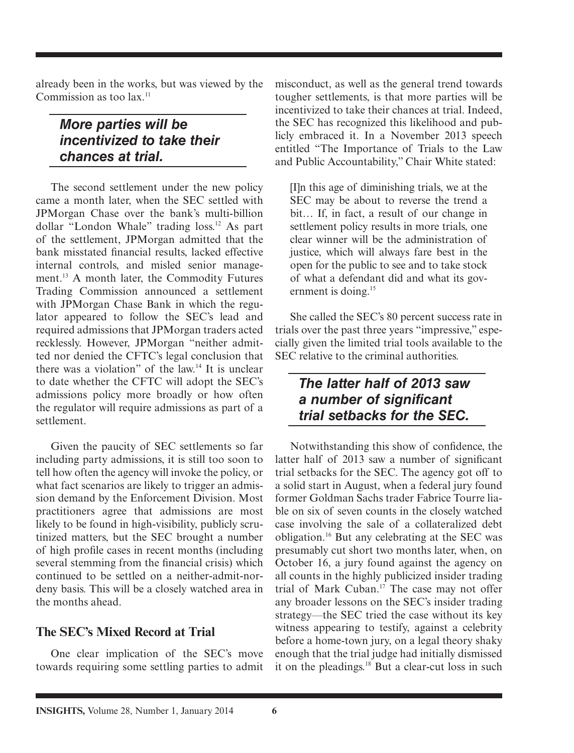already been in the works, but was viewed by the Commission as too lax.<sup>11</sup>

## *More parties will be incentivized to take their chances at trial.*

 The second settlement under the new policy came a month later, when the SEC settled with JPMorgan Chase over the bank's multi-billion dollar "London Whale" trading loss.<sup>12</sup> As part of the settlement, JPMorgan admitted that the bank misstated financial results, lacked effective internal controls, and misled senior management.<sup>13</sup> A month later, the Commodity Futures Trading Commission announced a settlement with JPMorgan Chase Bank in which the regulator appeared to follow the SEC's lead and required admissions that JPMorgan traders acted recklessly. However, JPMorgan "neither admitted nor denied the CFTC's legal conclusion that there was a violation" of the law.<sup>14</sup> It is unclear to date whether the CFTC will adopt the SEC's admissions policy more broadly or how often the regulator will require admissions as part of a settlement.

 Given the paucity of SEC settlements so far including party admissions, it is still too soon to tell how often the agency will invoke the policy, or what fact scenarios are likely to trigger an admission demand by the Enforcement Division. Most practitioners agree that admissions are most likely to be found in high-visibility, publicly scrutinized matters, but the SEC brought a number of high profile cases in recent months (including several stemming from the financial crisis) which continued to be settled on a neither-admit-nordeny basis. This will be a closely watched area in the months ahead.

#### **The SEC's Mixed Record at Trial**

 One clear implication of the SEC's move towards requiring some settling parties to admit misconduct, as well as the general trend towards tougher settlements, is that more parties will be incentivized to take their chances at trial. Indeed, the SEC has recognized this likelihood and publicly embraced it. In a November 2013 speech entitled "The Importance of Trials to the Law and Public Accountability," Chair White stated:

[I]n this age of diminishing trials, we at the SEC may be about to reverse the trend a bit… If, in fact, a result of our change in settlement policy results in more trials, one clear winner will be the administration of justice, which will always fare best in the open for the public to see and to take stock of what a defendant did and what its government is doing.<sup>15</sup>

She called the SEC's 80 percent success rate in trials over the past three years "impressive," especially given the limited trial tools available to the SEC relative to the criminal authorities.

### *The latter half of 2013 saw a number of significant trial setbacks for the SEC.*

Notwithstanding this show of confidence, the latter half of 2013 saw a number of significant trial setbacks for the SEC. The agency got off to a solid start in August, when a federal jury found former Goldman Sachs trader Fabrice Tourre liable on six of seven counts in the closely watched case involving the sale of a collateralized debt obligation. 16 But any celebrating at the SEC was presumably cut short two months later, when, on October 16, a jury found against the agency on all counts in the highly publicized insider trading trial of Mark Cuban.<sup>17</sup> The case may not offer any broader lessons on the SEC's insider trading strategy—the SEC tried the case without its key witness appearing to testify, against a celebrity before a home-town jury, on a legal theory shaky enough that the trial judge had initially dismissed it on the pleadings. $18$  But a clear-cut loss in such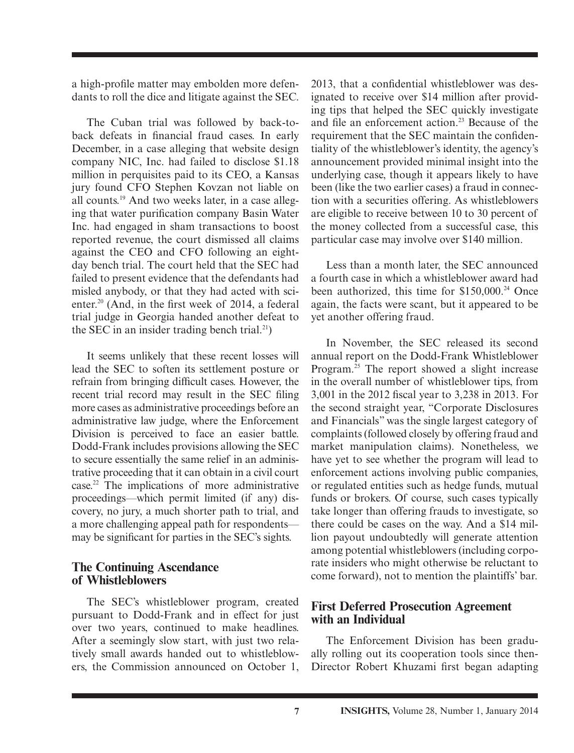a high-profile matter may embolden more defendants to roll the dice and litigate against the SEC.

 The Cuban trial was followed by back-toback defeats in financial fraud cases. In early December, in a case alleging that website design company NIC, Inc. had failed to disclose \$1.18 million in perquisites paid to its CEO, a Kansas jury found CFO Stephen Kovzan not liable on all counts. 19 And two weeks later, in a case alleging that water purification company Basin Water Inc. had engaged in sham transactions to boost reported revenue, the court dismissed all claims against the CEO and CFO following an eightday bench trial. The court held that the SEC had failed to present evidence that the defendants had misled anybody, or that they had acted with scienter.<sup>20</sup> (And, in the first week of 2014, a federal trial judge in Georgia handed another defeat to the SEC in an insider trading bench trial. $^{21}$ )

 It seems unlikely that these recent losses will lead the SEC to soften its settlement posture or refrain from bringing difficult cases. However, the recent trial record may result in the SEC filing more cases as administrative proceedings before an administrative law judge, where the Enforcement Division is perceived to face an easier battle. Dodd-Frank includes provisions allowing the SEC to secure essentially the same relief in an administrative proceeding that it can obtain in a civil court case. 22 The implications of more administrative proceedings—which permit limited (if any) discovery, no jury, a much shorter path to trial, and a more challenging appeal path for respondents may be significant for parties in the SEC's sights.

#### **The Continuing Ascendance of Whistleblowers**

 The SEC's whistleblower program, created pursuant to Dodd-Frank and in effect for just over two years, continued to make headlines. After a seemingly slow start, with just two relatively small awards handed out to whistleblowers, the Commission announced on October 1,

2013, that a confidential whistleblower was designated to receive over \$14 million after providing tips that helped the SEC quickly investigate and file an enforcement action.<sup>23</sup> Because of the requirement that the SEC maintain the confidentiality of the whistleblower's identity, the agency's announcement provided minimal insight into the underlying case, though it appears likely to have been (like the two earlier cases) a fraud in connection with a securities offering. As whistleblowers are eligible to receive between 10 to 30 percent of the money collected from a successful case, this particular case may involve over \$140 million.

 Less than a month later, the SEC announced a fourth case in which a whistleblower award had been authorized, this time for \$150,000.<sup>24</sup> Once again, the facts were scant, but it appeared to be yet another offering fraud.

 In November, the SEC released its second annual report on the Dodd-Frank Whistleblower Program.<sup>25</sup> The report showed a slight increase in the overall number of whistleblower tips, from 3,001 in the 2012 fiscal year to 3,238 in 2013. For the second straight year, "Corporate Disclosures and Financials" was the single largest category of complaints (followed closely by offering fraud and market manipulation claims). Nonetheless, we have yet to see whether the program will lead to enforcement actions involving public companies, or regulated entities such as hedge funds, mutual funds or brokers. Of course, such cases typically take longer than offering frauds to investigate, so there could be cases on the way. And a \$14 million payout undoubtedly will generate attention among potential whistleblowers (including corporate insiders who might otherwise be reluctant to come forward), not to mention the plaintiffs' bar.

#### **First Deferred Prosecution Agreement with an Individual**

 The Enforcement Division has been gradually rolling out its cooperation tools since then-Director Robert Khuzami first began adapting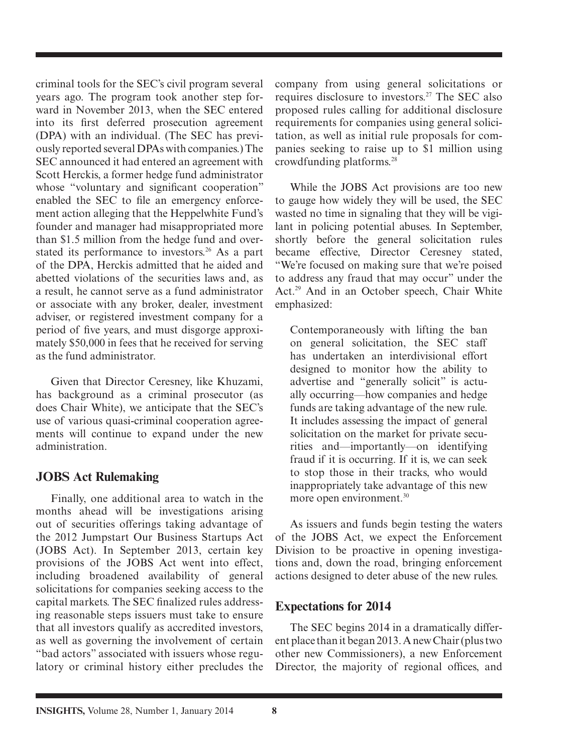criminal tools for the SEC's civil program several years ago. The program took another step forward in November 2013, when the SEC entered into its first deferred prosecution agreement (DPA) with an individual. (The SEC has previously reported several DPAs with companies.) The SEC announced it had entered an agreement with Scott Herckis, a former hedge fund administrator whose "voluntary and significant cooperation" enabled the SEC to file an emergency enforcement action alleging that the Heppelwhite Fund's founder and manager had misappropriated more than \$1.5 million from the hedge fund and overstated its performance to investors.<sup>26</sup> As a part of the DPA, Herckis admitted that he aided and abetted violations of the securities laws and, as a result, he cannot serve as a fund administrator or associate with any broker, dealer, investment adviser, or registered investment company for a period of five years, and must disgorge approximately \$50,000 in fees that he received for serving as the fund administrator.

 Given that Director Ceresney, like Khuzami, has background as a criminal prosecutor (as does Chair White), we anticipate that the SEC's use of various quasi-criminal cooperation agreements will continue to expand under the new administration.

### **JOBS Act Rulemaking**

 Finally, one additional area to watch in the months ahead will be investigations arising out of securities offerings taking advantage of the 2012 Jumpstart Our Business Startups Act (JOBS Act). In September 2013, certain key provisions of the JOBS Act went into effect, including broadened availability of general solicitations for companies seeking access to the capital markets. The SEC finalized rules addressing reasonable steps issuers must take to ensure that all investors qualify as accredited investors, as well as governing the involvement of certain "bad actors" associated with issuers whose regulatory or criminal history either precludes the company from using general solicitations or requires disclosure to investors.<sup>27</sup> The SEC also proposed rules calling for additional disclosure requirements for companies using general solicitation, as well as initial rule proposals for companies seeking to raise up to \$1 million using crowdfunding platforms. 28

 While the JOBS Act provisions are too new to gauge how widely they will be used, the SEC wasted no time in signaling that they will be vigilant in policing potential abuses. In September, shortly before the general solicitation rules became effective, Director Ceresney stated, "We're focused on making sure that we're poised to address any fraud that may occur" under the Act.<sup>29</sup> And in an October speech, Chair White emphasized:

 Contemporaneously with lifting the ban on general solicitation, the SEC staff has undertaken an interdivisional effort designed to monitor how the ability to advertise and "generally solicit" is actually occurring—how companies and hedge funds are taking advantage of the new rule. It includes assessing the impact of general solicitation on the market for private securities and—importantly—on identifying fraud if it is occurring. If it is, we can seek to stop those in their tracks, who would inappropriately take advantage of this new more open environment.<sup>30</sup>

 As issuers and funds begin testing the waters of the JOBS Act, we expect the Enforcement Division to be proactive in opening investigations and, down the road, bringing enforcement actions designed to deter abuse of the new rules.

#### **Expectations for 2014**

 The SEC begins 2014 in a dramatically different place than it began 2013. A new Chair (plus two other new Commissioners), a new Enforcement Director, the majority of regional offices, and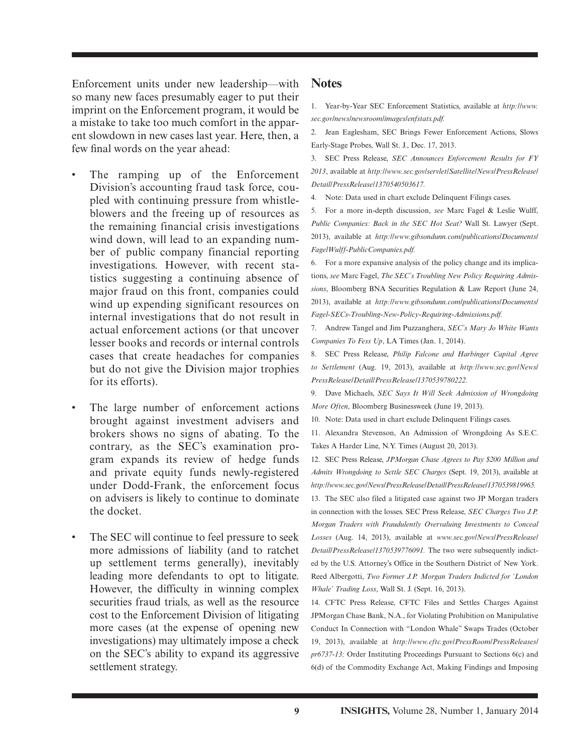Enforcement units under new leadership—with so many new faces presumably eager to put their imprint on the Enforcement program, it would be a mistake to take too much comfort in the apparent slowdown in new cases last year. Here, then, a few final words on the year ahead:

- The ramping up of the Enforcement Division's accounting fraud task force, coupled with continuing pressure from whistleblowers and the freeing up of resources as the remaining financial crisis investigations wind down, will lead to an expanding number of public company financial reporting investigations. However, with recent statistics suggesting a continuing absence of major fraud on this front, companies could wind up expending significant resources on internal investigations that do not result in actual enforcement actions (or that uncover lesser books and records or internal controls cases that create headaches for companies but do not give the Division major trophies for its efforts).
- The large number of enforcement actions brought against investment advisers and brokers shows no signs of abating. To the contrary, as the SEC's examination program expands its review of hedge funds and private equity funds newly-registered under Dodd-Frank, the enforcement focus on advisers is likely to continue to dominate the docket.
- The SEC will continue to feel pressure to seek more admissions of liability (and to ratchet up settlement terms generally), inevitably leading more defendants to opt to litigate. However, the difficulty in winning complex securities fraud trials, as well as the resource cost to the Enforcement Division of litigating more cases (at the expense of opening new investigations) may ultimately impose a check on the SEC's ability to expand its aggressive settlement strategy.

#### **Notes**

1. Year-by-Year SEC Enforcement Statistics, available at *http://www. sec.gov/news/newsroom/images/enfstats.pdf.*

 2. Jean Eaglesham, SEC Brings Fewer Enforcement Actions, Slows Early-Stage Probes, Wall St. J., Dec. 17, 2013.

 3. SEC Press Release, *SEC Announces Enforcement Results for FY 2013* , available at *http://www.sec.gov/servlet/Satellite/News/PressRelease/ Detail/PressRelease/1370540503617.*

4. Note: Data used in chart exclude Delinquent Filings cases.

 5. For a more in-depth discussion, *see* Marc Fagel & Leslie Wulff, *Public Companies: Back in the SEC Hot Seat?* Wall St. Lawyer (Sept. 2013), available at *http://www.gibsondunn.com/publications/Documents/ FagelWulff-PublicCompanies.pdf.*

6. For a more expansive analysis of the policy change and its implications, *see* Marc Fagel, *The SEC's Troubling New Policy Requiring Admissions*, Bloomberg BNA Securities Regulation & Law Report (June 24, 2013), available at *http://www.gibsondunn.com/publications/Documents/ Fagel-SECs-Troubling-New-Policy-Requiring-Admissions.pdf.*

7. Andrew Tangel and Jim Puzzanghera, *SEC's Mary Jo White Wants Companies To Fess Up*, LA Times (Jan. 1, 2014).

 8. SEC Press Release, *Philip Falcone and Harbinger Capital Agree to Settlement* (Aug. 19, 2013), available at *http://www.sec.gov/News/ PressRelease/Detail/PressRelease/1370539780222 .*

 9. Dave Michaels, *SEC Says It Will Seek Admission of Wrongdoing More Often*, Bloomberg Businessweek (June 19, 2013).

10. Note: Data used in chart exclude Delinquent Filings cases.

 11. Alexandra Stevenson, An Admission of Wrongdoing As S.E.C. Takes A Harder Line, N.Y. Times (August 20, 2013).

 12. SEC Press Release, *JPMorgan Chase Agrees to Pay \$200 Million and Admits Wrongdoing to Settle SEC Charges* (Sept. 19, 2013), available at *http://www.sec.gov/News/PressRelease/Detail/PressRelease/1370539819965.*

 13. The SEC also filed a litigated case against two JP Morgan traders in connection with the losses. SEC Press Release, *SEC Charges Two J.P. Morgan Traders with Fraudulently Overvaluing Investments to Conceal Losses* (Aug. 14, 2013), available at *www.sec.gov/News/PressRelease/ Detail/PressRelease/1370539776091.* The two were subsequently indicted by the U.S. Attorney's Office in the Southern District of New York. Reed Albergotti, *Two Former J.P. Morgan Traders Indicted for 'London Whale' Trading Loss* , Wall St. J. (Sept. 16, 2013).

 14. CFTC Press Release, CFTC Files and Settles Charges Against JPMorgan Chase Bank, N.A., for Violating Prohibition on Manipulative Conduct In Connection with "London Whale" Swaps Trades (October 19, 2013), available at *http://www.cftc.gov/PressRoom/PressReleases/ pr6737-13;* Order Instituting Proceedings Pursuant to Sections 6(c) and 6(d) of the Commodity Exchange Act, Making Findings and Imposing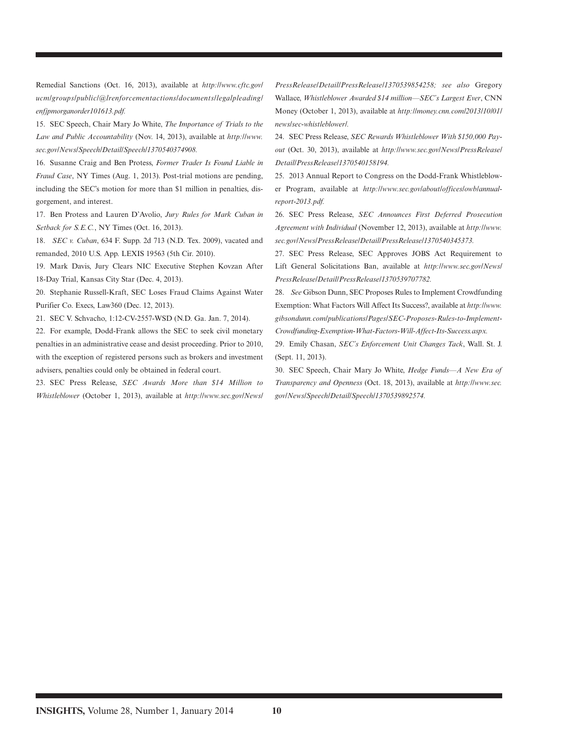Remedial Sanctions (Oct. 16, 2013), available at *http://www.cftc.gov/ ucm/groups/public/@lrenforcementactions/documents/legalpleading/ enfjpmorganorder101613.pdf.*

 15. SEC Speech, Chair Mary Jo White, *The Importance of Trials to the Law and Public Accountability* (Nov. 14, 2013), available at *http://www. sec.gov/News/Speech/Detail/Speech/1370540374908.*

 16. Susanne Craig and Ben Protess, *Former Trader Is Found Liable in Fraud Case*, NY Times (Aug. 1, 2013). Post-trial motions are pending, including the SEC's motion for more than \$1 million in penalties, disgorgement, and interest.

 17. Ben Protess and Lauren D'Avolio, *Jury Rules for Mark Cuban in Setback for S.E.C.* , NY Times (Oct. 16, 2013).

 18. *SEC v. Cuban* , 634 F. Supp. 2d 713 (N.D. Tex. 2009), vacated and remanded, 2010 U.S. App. LEXIS 19563 (5th Cir. 2010).

 19. Mark Davis, Jury Clears NIC Executive Stephen Kovzan After 18-Day Trial, Kansas City Star (Dec. 4, 2013).

 20. Stephanie Russell-Kraft, SEC Loses Fraud Claims Against Water Purifier Co. Execs, Law360 (Dec. 12, 2013).

21. SEC V. Schvacho, 1:12-CV-2557-WSD (N.D. Ga. Jan. 7, 2014).

 22. For example, Dodd-Frank allows the SEC to seek civil monetary penalties in an administrative cease and desist proceeding. Prior to 2010, with the exception of registered persons such as brokers and investment advisers, penalties could only be obtained in federal court.

 23. SEC Press Release, *SEC Awards More than \$14 Million to Whistleblower* (October 1, 2013), available at *http://www.sec.gov/News/* *PressRelease/Detail/PressRelease/1370539854258; see also* Gregory Wallace, *Whistleblower Awarded \$14 million—SEC's Largest Ever* , CNN Money (October 1, 2013), available at *http://money.cnn.com/2013/10/01/ news/sec-whistleblower/.*

 24. SEC Press Release, *SEC Rewards Whistleblower With \$150,000 Payout* (Oct. 30, 2013), available at *http://www.sec.gov/News/PressRelease/ Detail/PressRelease/1370540158194.*

 25. 2013 Annual Report to Congress on the Dodd-Frank Whistleblower Program, available at *http://www.sec.gov/about/offices/owb/annualreport- 2013.pdf.*

 26. SEC Press Release, *SEC Announces First Deferred Prosecution Agreement with Individual* (November 12, 2013), available at *http://www. sec.gov/News/PressRelease/Detail/PressRelease/1370540345373.* 

 27. SEC Press Release, SEC Approves JOBS Act Requirement to Lift General Solicitations Ban, available at *http://www.sec.gov/News/ PressRelease/Detail/PressRelease/1370539707782.*

 28. *See* Gibson Dunn, SEC Proposes Rules to Implement Crowdfunding Exemption: What Factors Will Affect Its Success?, available at *http://www. gibsondunn.com/publications/Pages/SEC-Proposes-Rules-to-Implement-Crowdfunding-Exemption-What-Factors-Will-Affect-Its-Success.aspx.* 29. Emily Chasan, *SEC's Enforcement Unit Changes Tack* , Wall. St. J. (Sept. 11, 2013).

 30. SEC Speech, Chair Mary Jo White, *Hedge Funds—A New Era of Transparency and Openness* (Oct. 18, 2013), available at *http://www.sec. gov/News/Speech/Detail/Speech/1370539892574.*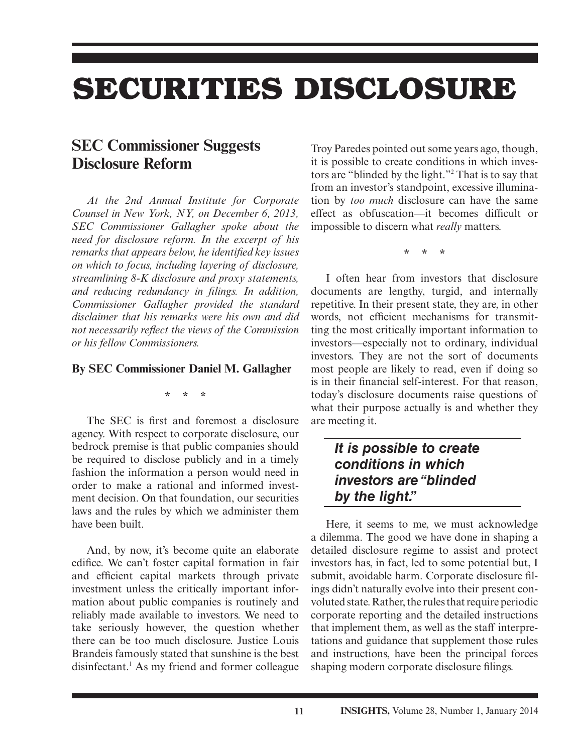## **SECURITIES DISCLOSURE**

## **SEC Commissioner Suggests Disclosure Reform**

*At the 2nd Annual Institute for Corporate Counsel in New York, NY, on December 6, 2013, SEC Commissioner Gallagher spoke about the need for disclosure reform. In the excerpt of his remarks that appears below, he identified key issues on which to focus, including layering of disclosure, streamlining 8-K disclosure and proxy statements, and reducing redundancy in filings. In addition, Commissioner Gallagher provided the standard disclaimer that his remarks were his own and did not necessarily reflect the views of the Commission or his fellow Commissioners.*

#### **By SEC Commissioner Daniel M. Gallagher**

**\* \* \***

The SEC is first and foremost a disclosure agency. With respect to corporate disclosure, our bedrock premise is that public companies should be required to disclose publicly and in a timely fashion the information a person would need in order to make a rational and informed investment decision. On that foundation, our securities laws and the rules by which we administer them have been built.

 And, by now, it's become quite an elaborate edifice. We can't foster capital formation in fair and efficient capital markets through private investment unless the critically important information about public companies is routinely and reliably made available to investors. We need to take seriously however, the question whether there can be too much disclosure. Justice Louis Brandeis famously stated that sunshine is the best disinfectant.<sup>1</sup> As my friend and former colleague Troy Paredes pointed out some years ago, though, it is possible to create conditions in which investors are "blinded by the light."2 That is to say that from an investor's standpoint, excessive illumination by *too much* disclosure can have the same effect as obfuscation—it becomes difficult or impossible to discern what *really* matters.

**\* \* \***

 I often hear from investors that disclosure documents are lengthy, turgid, and internally repetitive. In their present state, they are, in other words, not efficient mechanisms for transmitting the most critically important information to investors—especially not to ordinary, individual investors. They are not the sort of documents most people are likely to read, even if doing so is in their financial self-interest. For that reason, today's disclosure documents raise questions of what their purpose actually is and whether they are meeting it.

### *It is possible to create conditions in which investors are "blinded by the light."*

 Here, it seems to me, we must acknowledge a dilemma. The good we have done in shaping a detailed disclosure regime to assist and protect investors has, in fact, led to some potential but, I submit, avoidable harm. Corporate disclosure filings didn't naturally evolve into their present convoluted state. Rather, the rules that require periodic corporate reporting and the detailed instructions that implement them, as well as the staff interpretations and guidance that supplement those rules and instructions, have been the principal forces shaping modern corporate disclosure filings.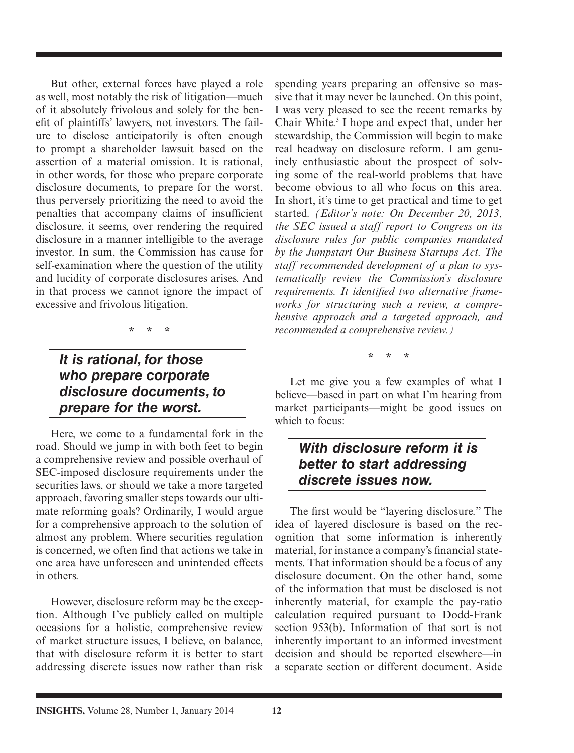But other, external forces have played a role as well, most notably the risk of litigation—much of it absolutely frivolous and solely for the benefit of plaintiffs' lawyers, not investors. The failure to disclose anticipatorily is often enough to prompt a shareholder lawsuit based on the assertion of a material omission. It is rational, in other words, for those who prepare corporate disclosure documents, to prepare for the worst, thus perversely prioritizing the need to avoid the penalties that accompany claims of insufficient disclosure, it seems, over rendering the required disclosure in a manner intelligible to the average investor. In sum, the Commission has cause for self-examination where the question of the utility and lucidity of corporate disclosures arises. And in that process we cannot ignore the impact of excessive and frivolous litigation.

**\* \* \***

## *It is rational, for those who prepare corporate disclosure documents, to prepare for the worst.*

 Here, we come to a fundamental fork in the road. Should we jump in with both feet to begin a comprehensive review and possible overhaul of SEC-imposed disclosure requirements under the securities laws, or should we take a more targeted approach, favoring smaller steps towards our ultimate reforming goals? Ordinarily, I would argue for a comprehensive approach to the solution of almost any problem. Where securities regulation is concerned, we often find that actions we take in one area have unforeseen and unintended effects in others.

 However, disclosure reform may be the exception. Although I've publicly called on multiple occasions for a holistic, comprehensive review of market structure issues, I believe, on balance, that with disclosure reform it is better to start addressing discrete issues now rather than risk spending years preparing an offensive so massive that it may never be launched. On this point, I was very pleased to see the recent remarks by Chair White.<sup>3</sup> I hope and expect that, under her stewardship, the Commission will begin to make real headway on disclosure reform. I am genuinely enthusiastic about the prospect of solving some of the real-world problems that have become obvious to all who focus on this area. In short, it's time to get practical and time to get started. *(Editor's note: On December 20, 2013, the SEC issued a staff report to Congress on its disclosure rules for public companies mandated by the Jumpstart Our Business Startups Act. The staff recommended development of a plan to systematically review the Commission's disclosure*  requirements. It identified two alternative frame*works for structuring such a review, a comprehensive approach and a targeted approach, and recommended a comprehensive review.)*

**\* \* \***

 Let me give you a few examples of what I believe—based in part on what I'm hearing from market participants—might be good issues on which to focus:

### *With disclosure reform it is better to start addressing discrete issues now.*

The first would be "layering disclosure." The idea of layered disclosure is based on the recognition that some information is inherently material, for instance a company's financial statements. That information should be a focus of any disclosure document. On the other hand, some of the information that must be disclosed is not inherently material, for example the pay-ratio calculation required pursuant to Dodd-Frank section 953(b). Information of that sort is not inherently important to an informed investment decision and should be reported elsewhere—in a separate section or different document. Aside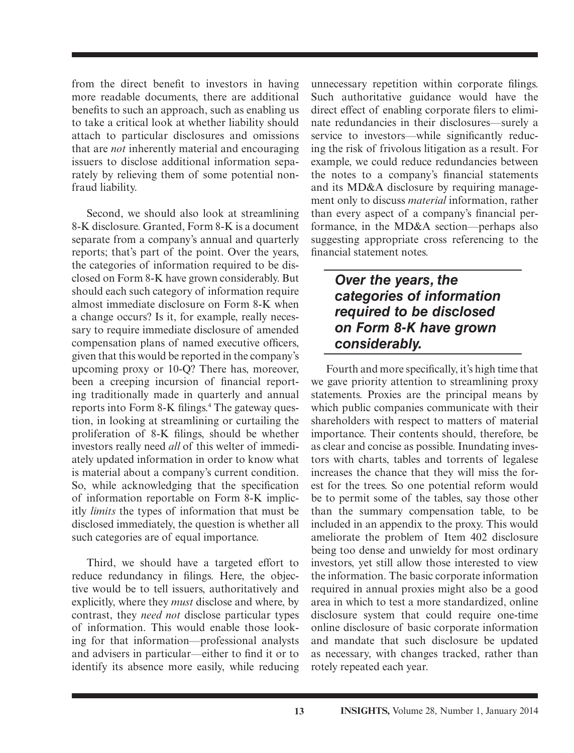from the direct benefit to investors in having more readable documents, there are additional benefits to such an approach, such as enabling us to take a critical look at whether liability should attach to particular disclosures and omissions that are *not* inherently material and encouraging issuers to disclose additional information separately by relieving them of some potential nonfraud liability.

 Second, we should also look at streamlining 8-K disclosure. Granted, Form 8-K is a document separate from a company's annual and quarterly reports; that's part of the point. Over the years, the categories of information required to be disclosed on Form 8-K have grown considerably. But should each such category of information require almost immediate disclosure on Form 8-K when a change occurs? Is it, for example, really necessary to require immediate disclosure of amended compensation plans of named executive officers, given that this would be reported in the company's upcoming proxy or 10-Q? There has, moreover, been a creeping incursion of financial reporting traditionally made in quarterly and annual reports into Form 8-K filings.<sup>4</sup> The gateway question, in looking at streamlining or curtailing the proliferation of 8-K filings, should be whether investors really need *all* of this welter of immediately updated information in order to know what is material about a company's current condition. So, while acknowledging that the specification of information reportable on Form 8-K implicitly *limits* the types of information that must be disclosed immediately, the question is whether all such categories are of equal importance.

 Third, we should have a targeted effort to reduce redundancy in filings. Here, the objective would be to tell issuers, authoritatively and explicitly, where they *must* disclose and where, by contrast, they *need not* disclose particular types of information. This would enable those looking for that information—professional analysts and advisers in particular—either to find it or to identify its absence more easily, while reducing

unnecessary repetition within corporate filings. Such authoritative guidance would have the direct effect of enabling corporate filers to eliminate redundancies in their disclosures—surely a service to investors—while significantly reducing the risk of frivolous litigation as a result. For example, we could reduce redundancies between the notes to a company's financial statements and its MD&A disclosure by requiring management only to discuss *material* information, rather than every aspect of a company's financial performance, in the MD&A section—perhaps also suggesting appropriate cross referencing to the financial statement notes.

### *Over the years, the categories of information required to be disclosed on Form 8-K have grown considerably.*

Fourth and more specifically, it's high time that we gave priority attention to streamlining proxy statements. Proxies are the principal means by which public companies communicate with their shareholders with respect to matters of material importance. Their contents should, therefore, be as clear and concise as possible. Inundating investors with charts, tables and torrents of legalese increases the chance that they will miss the forest for the trees. So one potential reform would be to permit some of the tables, say those other than the summary compensation table, to be included in an appendix to the proxy. This would ameliorate the problem of Item 402 disclosure being too dense and unwieldy for most ordinary investors, yet still allow those interested to view the information. The basic corporate information required in annual proxies might also be a good area in which to test a more standardized, online disclosure system that could require one-time online disclosure of basic corporate information and mandate that such disclosure be updated as necessary, with changes tracked, rather than rotely repeated each year.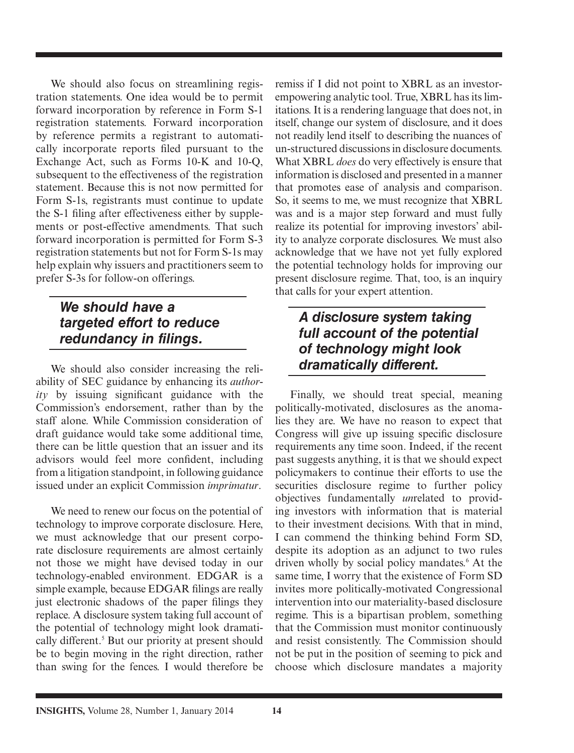We should also focus on streamlining registration statements. One idea would be to permit forward incorporation by reference in Form S-1 registration statements. Forward incorporation by reference permits a registrant to automatically incorporate reports filed pursuant to the Exchange Act, such as Forms 10-K and 10-Q, subsequent to the effectiveness of the registration statement. Because this is not now permitted for Form S-1s, registrants must continue to update the S-1 filing after effectiveness either by supplements or post-effective amendments. That such forward incorporation is permitted for Form S-3 registration statements but not for Form S-1s may help explain why issuers and practitioners seem to prefer S-3s for follow-on offerings.

## *We should have a targeted effort to reduce redundancy in filings.*

 We should also consider increasing the reliability of SEC guidance by enhancing its *author* $ity$  by issuing significant guidance with the Commission's endorsement, rather than by the staff alone. While Commission consideration of draft guidance would take some additional time, there can be little question that an issuer and its advisors would feel more confident, including from a litigation standpoint, in following guidance issued under an explicit Commission *imprimatur*.

 We need to renew our focus on the potential of technology to improve corporate disclosure. Here, we must acknowledge that our present corporate disclosure requirements are almost certainly not those we might have devised today in our technology-enabled environment. EDGAR is a simple example, because EDGAR filings are really just electronic shadows of the paper filings they replace. A disclosure system taking full account of the potential of technology might look dramatically different.<sup>5</sup> But our priority at present should be to begin moving in the right direction, rather than swing for the fences. I would therefore be

remiss if I did not point to XBRL as an investorempowering analytic tool. True, XBRL has its limitations. It is a rendering language that does not, in itself, change our system of disclosure, and it does not readily lend itself to describing the nuances of un-structured discussions in disclosure documents. What XBRL *does* do very effectively is ensure that information is disclosed and presented in a manner that promotes ease of analysis and comparison. So, it seems to me, we must recognize that XBRL was and is a major step forward and must fully realize its potential for improving investors' ability to analyze corporate disclosures. We must also acknowledge that we have not yet fully explored the potential technology holds for improving our present disclosure regime. That, too, is an inquiry that calls for your expert attention.

### *A disclosure system taking full account of the potential of technology might look dramatically different.*

 Finally, we should treat special, meaning politically-motivated, disclosures as the anomalies they are. We have no reason to expect that Congress will give up issuing specific disclosure requirements any time soon. Indeed, if the recent past suggests anything, it is that we should expect policymakers to continue their efforts to use the securities disclosure regime to further policy objectives fundamentally *un*related to providing investors with information that is material to their investment decisions. With that in mind, I can commend the thinking behind Form SD, despite its adoption as an adjunct to two rules driven wholly by social policy mandates.<sup>6</sup> At the same time, I worry that the existence of Form SD invites more politically-motivated Congressional intervention into our materiality-based disclosure regime. This is a bipartisan problem, something that the Commission must monitor continuously and resist consistently. The Commission should not be put in the position of seeming to pick and choose which disclosure mandates a majority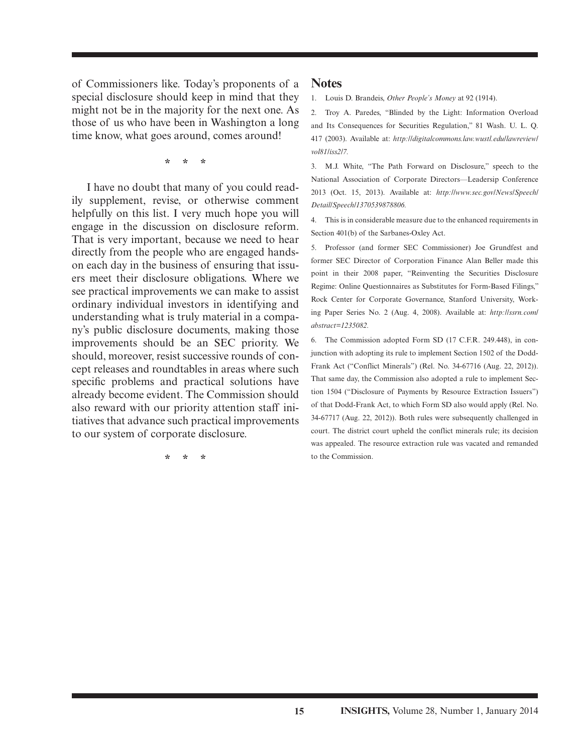of Commissioners like. Today's proponents of a special disclosure should keep in mind that they might not be in the majority for the next one. As those of us who have been in Washington a long time know, what goes around, comes around!

**\* \* \***

 I have no doubt that many of you could readily supplement, revise, or otherwise comment helpfully on this list. I very much hope you will engage in the discussion on disclosure reform. That is very important, because we need to hear directly from the people who are engaged handson each day in the business of ensuring that issuers meet their disclosure obligations. Where we see practical improvements we can make to assist ordinary individual investors in identifying and understanding what is truly material in a company's public disclosure documents, making those improvements should be an SEC priority. We should, moreover, resist successive rounds of concept releases and roundtables in areas where such specific problems and practical solutions have already become evident. The Commission should also reward with our priority attention staff initiatives that advance such practical improvements to our system of corporate disclosure.

**\* \* \***

#### **Notes**

1. Louis D. Brandeis, *Other People's Money* at 92 (1914).

 2. Troy A. Paredes, "Blinded by the Light: Information Overload and Its Consequences for Securities Regulation," 81 Wash. U. L. Q. 417 (2003). Available at: *http://digitalcommons.law.wustl.edu/lawreview/ vol81/iss2/7.*

 3. M.J. White, "The Path Forward on Disclosure," speech to the National Association of Corporate Directors—Leadersip Conference 2013 (Oct. 15, 2013). Available at: *http://www.sec.gov/News/Speech/ Detail/Speech/1370539878806.*

 4. This is in considerable measure due to the enhanced requirements in Section 401(b) of the Sarbanes-Oxley Act.

 5. Professor (and former SEC Commissioner) Joe Grundfest and former SEC Director of Corporation Finance Alan Beller made this point in their 2008 paper, "Reinventing the Securities Disclosure Regime: Online Questionnaires as Substitutes for Form-Based Filings," Rock Center for Corporate Governance, Stanford University, Working Paper Series No. 2 (Aug. 4, 2008). Available at: *http://ssrn.com/ abstract=1235082.*

 6. The Commission adopted Form SD (17 C.F.R. 249.448), in conjunction with adopting its rule to implement Section 1502 of the Dodd-Frank Act ("Conflict Minerals") (Rel. No. 34-67716 (Aug. 22, 2012)). That same day, the Commission also adopted a rule to implement Section 1504 ("Disclosure of Payments by Resource Extraction Issuers") of that Dodd-Frank Act, to which Form SD also would apply (Rel. No. 34-67717 (Aug. 22, 2012)). Both rules were subsequently challenged in court. The district court upheld the conflict minerals rule; its decision was appealed. The resource extraction rule was vacated and remanded to the Commission.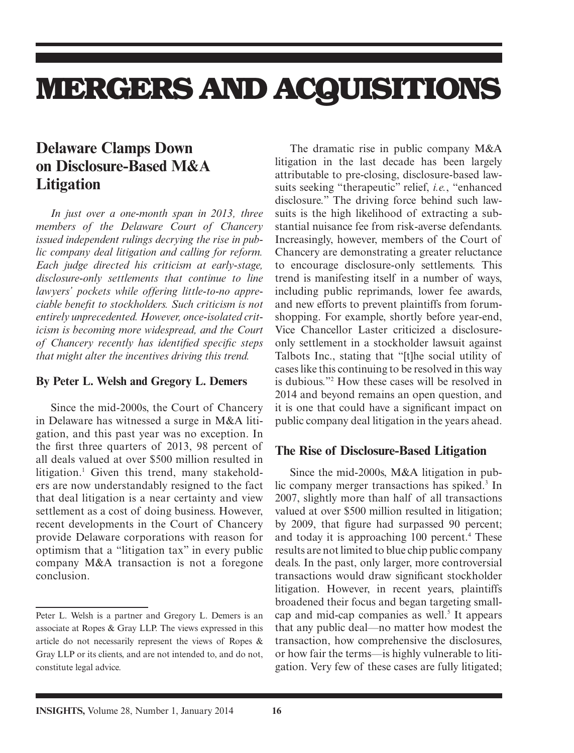## **MERGERS AND ACQUISITIONS**

## **Delaware Clamps Down on Disclosure-Based M&A Litigation**

*In just over a one-month span in 2013, three members of the Delaware Court of Chancery issued independent rulings decrying the rise in public company deal litigation and calling for reform. Each judge directed his criticism at early-stage, disclosure-only settlements that continue to line lawyers' pockets while offering little-to-no appreciable benefi t to stockholders. Such criticism is not entirely unprecedented. However, once-isolated criticism is becoming more widespread, and the Court of Chancery recently has identified specific steps that might alter the incentives driving this trend.*

#### **By Peter L. Welsh and Gregory L. Demers**

 Since the mid-2000s, the Court of Chancery in Delaware has witnessed a surge in M&A litigation, and this past year was no exception. In the first three quarters of 2013, 98 percent of all deals valued at over \$500 million resulted in litigation.<sup>1</sup> Given this trend, many stakeholders are now understandably resigned to the fact that deal litigation is a near certainty and view settlement as a cost of doing business. However, recent developments in the Court of Chancery provide Delaware corporations with reason for optimism that a "litigation tax" in every public company M&A transaction is not a foregone conclusion.

 The dramatic rise in public company M&A litigation in the last decade has been largely attributable to pre-closing, disclosure-based lawsuits seeking "therapeutic" relief, *i.e.* , "enhanced disclosure." The driving force behind such lawsuits is the high likelihood of extracting a substantial nuisance fee from risk-averse defendants. Increasingly, however, members of the Court of Chancery are demonstrating a greater reluctance to encourage disclosure-only settlements. This trend is manifesting itself in a number of ways, including public reprimands, lower fee awards, and new efforts to prevent plaintiffs from forumshopping. For example, shortly before year-end, Vice Chancellor Laster criticized a disclosureonly settlement in a stockholder lawsuit against Talbots Inc., stating that "[t]he social utility of cases like this continuing to be resolved in this way is dubious."<sup>2</sup> How these cases will be resolved in 2014 and beyond remains an open question, and it is one that could have a significant impact on public company deal litigation in the years ahead.

#### **The Rise of Disclosure-Based Litigation**

 Since the mid-2000s, M&A litigation in public company merger transactions has spiked.<sup>3</sup> In 2007, slightly more than half of all transactions valued at over \$500 million resulted in litigation; by 2009, that figure had surpassed 90 percent; and today it is approaching 100 percent.<sup>4</sup> These results are not limited to blue chip public company deals. In the past, only larger, more controversial transactions would draw significant stockholder litigation. However, in recent years, plaintiffs broadened their focus and began targeting smallcap and mid-cap companies as well.<sup>5</sup> It appears that any public deal—no matter how modest the transaction, how comprehensive the disclosures, or how fair the terms—is highly vulnerable to litigation. Very few of these cases are fully litigated;

Peter L. Welsh is a partner and Gregory L. Demers is an associate at Ropes & Gray LLP. The views expressed in this article do not necessarily represent the views of Ropes & Gray LLP or its clients, and are not intended to, and do not, constitute legal advice.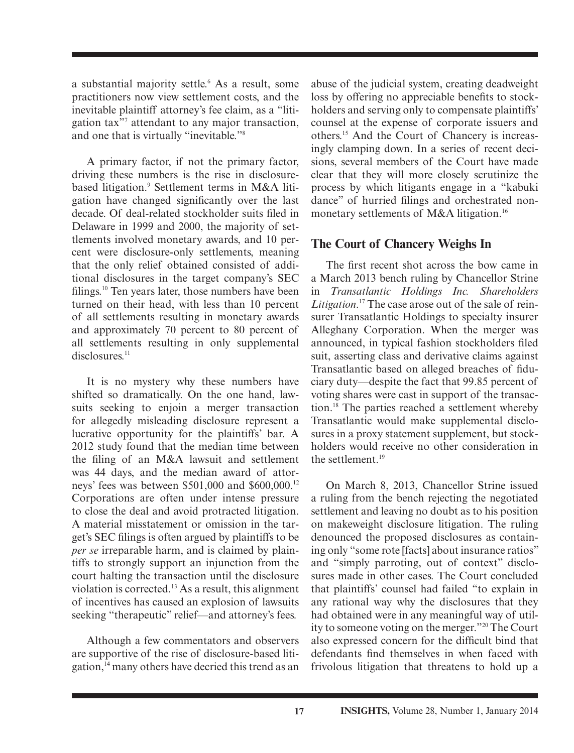a substantial majority settle.<sup>6</sup> As a result, some practitioners now view settlement costs, and the inevitable plaintiff attorney's fee claim, as a "litigation tax"<sup>7</sup> attendant to any major transaction, and one that is virtually "inevitable."<sup>8</sup>

 A primary factor, if not the primary factor, driving these numbers is the rise in disclosurebased litigation.<sup>9</sup> Settlement terms in M&A litigation have changed significantly over the last decade. Of deal-related stockholder suits filed in Delaware in 1999 and 2000, the majority of settlements involved monetary awards, and 10 percent were disclosure-only settlements, meaning that the only relief obtained consisted of additional disclosures in the target company's SEC filings.<sup>10</sup> Ten years later, those numbers have been turned on their head, with less than 10 percent of all settlements resulting in monetary awards and approximately 70 percent to 80 percent of all settlements resulting in only supplemental disclosures.<sup>11</sup>

 It is no mystery why these numbers have shifted so dramatically. On the one hand, lawsuits seeking to enjoin a merger transaction for allegedly misleading disclosure represent a lucrative opportunity for the plaintiffs' bar. A 2012 study found that the median time between the filing of an M&A lawsuit and settlement was 44 days, and the median award of attorneys' fees was between \$501,000 and \$600,000. 12 Corporations are often under intense pressure to close the deal and avoid protracted litigation. A material misstatement or omission in the target's SEC filings is often argued by plaintiffs to be *per se* irreparable harm, and is claimed by plaintiffs to strongly support an injunction from the court halting the transaction until the disclosure violation is corrected. 13 As a result, this alignment of incentives has caused an explosion of lawsuits seeking "therapeutic" relief—and attorney's fees.

 Although a few commentators and observers are supportive of the rise of disclosure-based litigation, 14 many others have decried this trend as an abuse of the judicial system, creating deadweight loss by offering no appreciable benefits to stockholders and serving only to compensate plaintiffs' counsel at the expense of corporate issuers and others. 15 And the Court of Chancery is increasingly clamping down. In a series of recent decisions, several members of the Court have made clear that they will more closely scrutinize the process by which litigants engage in a "kabuki dance" of hurried filings and orchestrated nonmonetary settlements of M&A litigation.<sup>16</sup>

#### **The Court of Chancery Weighs In**

The first recent shot across the bow came in a March 2013 bench ruling by Chancellor Strine in *Transatlantic Holdings Inc. Shareholders*  Litigation.<sup>17</sup> The case arose out of the sale of reinsurer Transatlantic Holdings to specialty insurer Alleghany Corporation. When the merger was announced, in typical fashion stockholders filed suit, asserting class and derivative claims against Transatlantic based on alleged breaches of fiduciary duty—despite the fact that 99.85 percent of voting shares were cast in support of the transaction. 18 The parties reached a settlement whereby Transatlantic would make supplemental disclosures in a proxy statement supplement, but stockholders would receive no other consideration in the settlement. 19

 On March 8, 2013, Chancellor Strine issued a ruling from the bench rejecting the negotiated settlement and leaving no doubt as to his position on makeweight disclosure litigation. The ruling denounced the proposed disclosures as containing only "some rote [facts] about insurance ratios" and "simply parroting, out of context" disclosures made in other cases. The Court concluded that plaintiffs' counsel had failed "to explain in any rational way why the disclosures that they had obtained were in any meaningful way of utility to someone voting on the merger." 20 The Court also expressed concern for the difficult bind that defendants find themselves in when faced with frivolous litigation that threatens to hold up a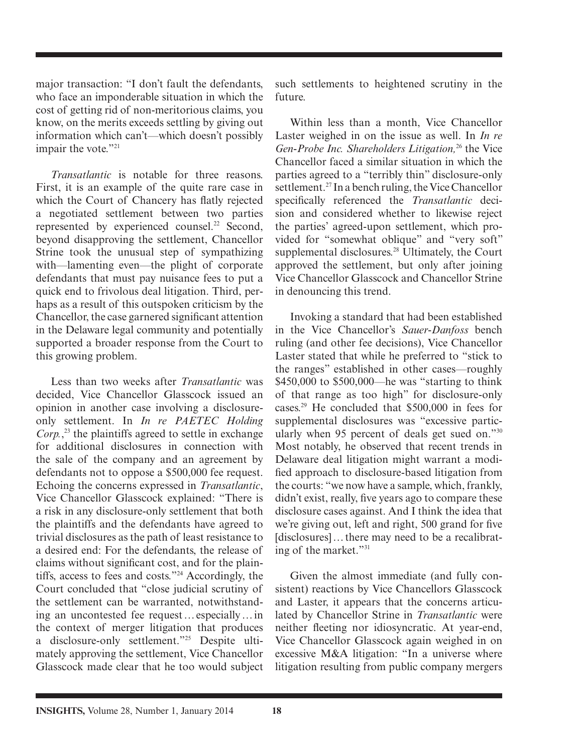major transaction: "I don't fault the defendants, who face an imponderable situation in which the cost of getting rid of non-meritorious claims, you know, on the merits exceeds settling by giving out information which can't—which doesn't possibly impair the vote."<sup>21</sup>

*Transatlantic* is notable for three reasons. First, it is an example of the quite rare case in which the Court of Chancery has flatly rejected a negotiated settlement between two parties represented by experienced counsel.<sup>22</sup> Second, beyond disapproving the settlement, Chancellor Strine took the unusual step of sympathizing with—lamenting even—the plight of corporate defendants that must pay nuisance fees to put a quick end to frivolous deal litigation. Third, perhaps as a result of this outspoken criticism by the Chancellor, the case garnered significant attention in the Delaware legal community and potentially supported a broader response from the Court to this growing problem.

 Less than two weeks after *Transatlantic* was decided, Vice Chancellor Glasscock issued an opinion in another case involving a disclosureonly settlement. In *In re PAETEC Holding*   $Corp<sub>1</sub>$ <sup>23</sup>, the plaintiffs agreed to settle in exchange for additional disclosures in connection with the sale of the company and an agreement by defendants not to oppose a \$500,000 fee request. Echoing the concerns expressed in *Transatlantic* , Vice Chancellor Glasscock explained: "There is a risk in any disclosure-only settlement that both the plaintiffs and the defendants have agreed to trivial disclosures as the path of least resistance to a desired end: For the defendants, the release of claims without significant cost, and for the plaintiffs, access to fees and costs."<sup>24</sup> Accordingly, the Court concluded that "close judicial scrutiny of the settlement can be warranted, notwithstanding an uncontested fee request … especially … in the context of merger litigation that produces a disclosure-only settlement."<sup>25</sup> Despite ultimately approving the settlement, Vice Chancellor Glasscock made clear that he too would subject

such settlements to heightened scrutiny in the future.

 Within less than a month, Vice Chancellor Laster weighed in on the issue as well. In *In re Gen-Probe Inc. Shareholders Litigation,* <sup>26</sup> the Vice Chancellor faced a similar situation in which the parties agreed to a "terribly thin" disclosure-only settlement.<sup>27</sup> In a bench ruling, the Vice Chancellor specifically referenced the *Transatlantic* decision and considered whether to likewise reject the parties' agreed-upon settlement, which provided for "somewhat oblique" and "very soft" supplemental disclosures.<sup>28</sup> Ultimately, the Court approved the settlement, but only after joining Vice Chancellor Glasscock and Chancellor Strine in denouncing this trend.

 Invoking a standard that had been established in the Vice Chancellor's *Sauer-Danfoss* bench ruling (and other fee decisions), Vice Chancellor Laster stated that while he preferred to "stick to the ranges" established in other cases—roughly \$450,000 to \$500,000—he was "starting to think of that range as too high" for disclosure-only cases. 29 He concluded that \$500,000 in fees for supplemental disclosures was "excessive particularly when 95 percent of deals get sued on." $30$ Most notably, he observed that recent trends in Delaware deal litigation might warrant a modified approach to disclosure-based litigation from the courts: "we now have a sample, which, frankly, didn't exist, really, five years ago to compare these disclosure cases against. And I think the idea that we're giving out, left and right, 500 grand for five [disclosures]... there may need to be a recalibrating of the market." $31$ 

 Given the almost immediate (and fully consistent) reactions by Vice Chancellors Glasscock and Laster, it appears that the concerns articulated by Chancellor Strine in *Transatlantic* were neither fleeting nor idiosyncratic. At year-end, Vice Chancellor Glasscock again weighed in on excessive M&A litigation: "In a universe where litigation resulting from public company mergers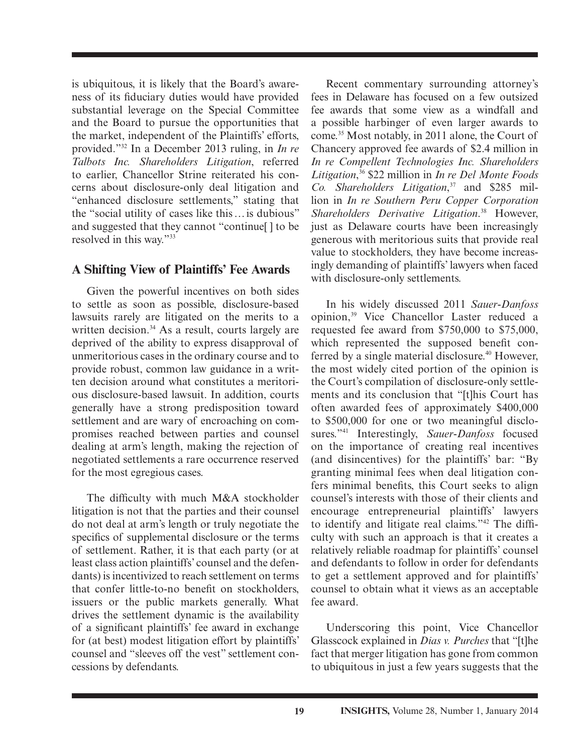is ubiquitous, it is likely that the Board's awareness of its fiduciary duties would have provided substantial leverage on the Special Committee and the Board to pursue the opportunities that the market, independent of the Plaintiffs' efforts, provided." 32 In a December 2013 ruling, in *In re Talbots Inc. Shareholders Litigation* , referred to earlier, Chancellor Strine reiterated his concerns about disclosure-only deal litigation and "enhanced disclosure settlements," stating that the "social utility of cases like this … is dubious" and suggested that they cannot "continue[ ] to be resolved in this way."<sup>33</sup>

#### **A Shifting View of Plaintiffs' Fee Awards**

 Given the powerful incentives on both sides to settle as soon as possible, disclosure-based lawsuits rarely are litigated on the merits to a written decision.<sup>34</sup> As a result, courts largely are deprived of the ability to express disapproval of unmeritorious cases in the ordinary course and to provide robust, common law guidance in a written decision around what constitutes a meritorious disclosure-based lawsuit. In addition, courts generally have a strong predisposition toward settlement and are wary of encroaching on compromises reached between parties and counsel dealing at arm's length, making the rejection of negotiated settlements a rare occurrence reserved for the most egregious cases.

The difficulty with much  $M&A$  stockholder litigation is not that the parties and their counsel do not deal at arm's length or truly negotiate the specifics of supplemental disclosure or the terms of settlement. Rather, it is that each party (or at least class action plaintiffs' counsel and the defendants) is incentivized to reach settlement on terms that confer little-to-no benefit on stockholders. issuers or the public markets generally. What drives the settlement dynamic is the availability of a significant plaintiffs' fee award in exchange for (at best) modest litigation effort by plaintiffs' counsel and "sleeves off the vest" settlement concessions by defendants.

 Recent commentary surrounding attorney's fees in Delaware has focused on a few outsized fee awards that some view as a windfall and a possible harbinger of even larger awards to come. 35 Most notably, in 2011 alone, the Court of Chancery approved fee awards of \$2.4 million in *In re Compellent Technologies Inc. Shareholders*  Litigation,<sup>36</sup> \$22 million in *In re Del Monte Foods* Co. Shareholders Litigation,<sup>37</sup> and \$285 million in *In re Southern Peru Copper Corporation*  Shareholders Derivative Litigation.<sup>38</sup> However, just as Delaware courts have been increasingly generous with meritorious suits that provide real value to stockholders, they have become increasingly demanding of plaintiffs' lawyers when faced with disclosure-only settlements.

 In his widely discussed 2011 *Sauer-Danfoss* opinion, 39 Vice Chancellor Laster reduced a requested fee award from \$750,000 to \$75,000, which represented the supposed benefit conferred by a single material disclosure.<sup>40</sup> However, the most widely cited portion of the opinion is the Court's compilation of disclosure-only settlements and its conclusion that "[t]his Court has often awarded fees of approximately \$400,000 to \$500,000 for one or two meaningful disclosures."<sup>41</sup> Interestingly, *Sauer-Danfoss* focused on the importance of creating real incentives (and disincentives) for the plaintiffs' bar: "By granting minimal fees when deal litigation confers minimal benefits, this Court seeks to align counsel's interests with those of their clients and encourage entrepreneurial plaintiffs' lawyers to identify and litigate real claims."<sup>42</sup> The difficulty with such an approach is that it creates a relatively reliable roadmap for plaintiffs' counsel and defendants to follow in order for defendants to get a settlement approved and for plaintiffs' counsel to obtain what it views as an acceptable fee award.

Underscoring this point, Vice Chancellor Glasscock explained in *Dias v. Purches* that "[t]he fact that merger litigation has gone from common to ubiquitous in just a few years suggests that the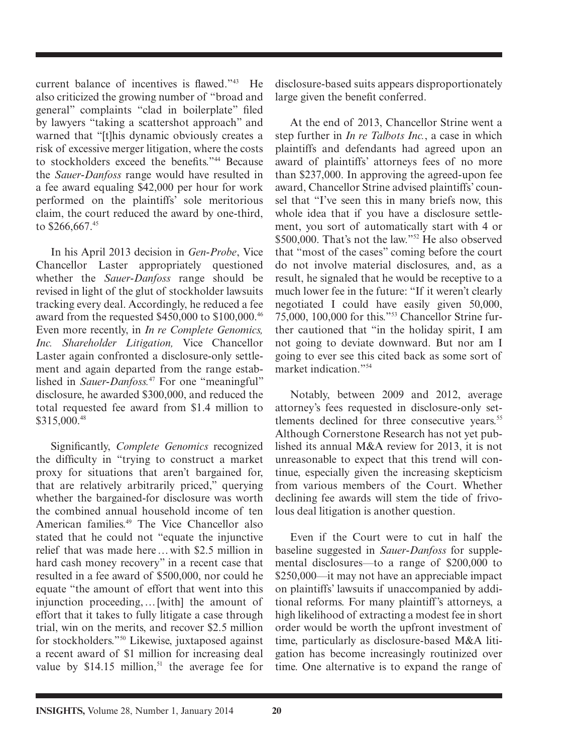current balance of incentives is flawed." $43$  He also criticized the growing number of "broad and general" complaints "clad in boilerplate" filed by lawyers "taking a scattershot approach" and warned that "[t]his dynamic obviously creates a risk of excessive merger litigation, where the costs to stockholders exceed the benefits."<sup>44</sup> Because the *Sauer-Danfoss* range would have resulted in a fee award equaling \$42,000 per hour for work performed on the plaintiffs' sole meritorious claim, the court reduced the award by one-third, to \$266,667.45

In his April 2013 decision in *Gen-Probe*, Vice Chancellor Laster appropriately questioned whether the *Sauer-Danfoss* range should be revised in light of the glut of stockholder lawsuits tracking every deal. Accordingly, he reduced a fee award from the requested \$450,000 to \$100,000. 46 Even more recently, in *In re Complete Genomics, Inc. Shareholder Litigation,* Vice Chancellor Laster again confronted a disclosure-only settlement and again departed from the range established in *Sauer-Danfoss*.<sup>47</sup> For one "meaningful" disclosure, he awarded \$300,000, and reduced the total requested fee award from \$1.4 million to \$315,000. 48

Significantly, *Complete Genomics* recognized the difficulty in "trying to construct a market proxy for situations that aren't bargained for, that are relatively arbitrarily priced," querying whether the bargained-for disclosure was worth the combined annual household income of ten American families.<sup>49</sup> The Vice Chancellor also stated that he could not "equate the injunctive relief that was made here … with \$2.5 million in hard cash money recovery" in a recent case that resulted in a fee award of \$500,000, nor could he equate "the amount of effort that went into this injunction proceeding, … [with] the amount of effort that it takes to fully litigate a case through trial, win on the merits, and recover \$2.5 million for stockholders."<sup>50</sup> Likewise, juxtaposed against a recent award of \$1 million for increasing deal value by  $$14.15$  million,<sup>51</sup> the average fee for disclosure-based suits appears disproportionately large given the benefit conferred.

 At the end of 2013, Chancellor Strine went a step further in *In re Talbots Inc.* , a case in which plaintiffs and defendants had agreed upon an award of plaintiffs' attorneys fees of no more than \$237,000. In approving the agreed-upon fee award, Chancellor Strine advised plaintiffs' counsel that "I've seen this in many briefs now, this whole idea that if you have a disclosure settlement, you sort of automatically start with 4 or \$500,000. That's not the law."<sup> $52$ </sup> He also observed that "most of the cases" coming before the court do not involve material disclosures, and, as a result, he signaled that he would be receptive to a much lower fee in the future: "If it weren't clearly negotiated I could have easily given 50,000, 75,000, 100,000 for this."<sup>53</sup> Chancellor Strine further cautioned that "in the holiday spirit, I am not going to deviate downward. But nor am I going to ever see this cited back as some sort of market indication."<sup>54</sup>

 Notably, between 2009 and 2012, average attorney's fees requested in disclosure-only settlements declined for three consecutive years.<sup>55</sup> Although Cornerstone Research has not yet published its annual M&A review for 2013, it is not unreasonable to expect that this trend will continue, especially given the increasing skepticism from various members of the Court. Whether declining fee awards will stem the tide of frivolous deal litigation is another question.

 Even if the Court were to cut in half the baseline suggested in *Sauer-Danfoss* for supplemental disclosures—to a range of \$200,000 to \$250,000—it may not have an appreciable impact on plaintiffs' lawsuits if unaccompanied by additional reforms. For many plaintiff's attorneys, a high likelihood of extracting a modest fee in short order would be worth the upfront investment of time, particularly as disclosure-based M&A litigation has become increasingly routinized over time. One alternative is to expand the range of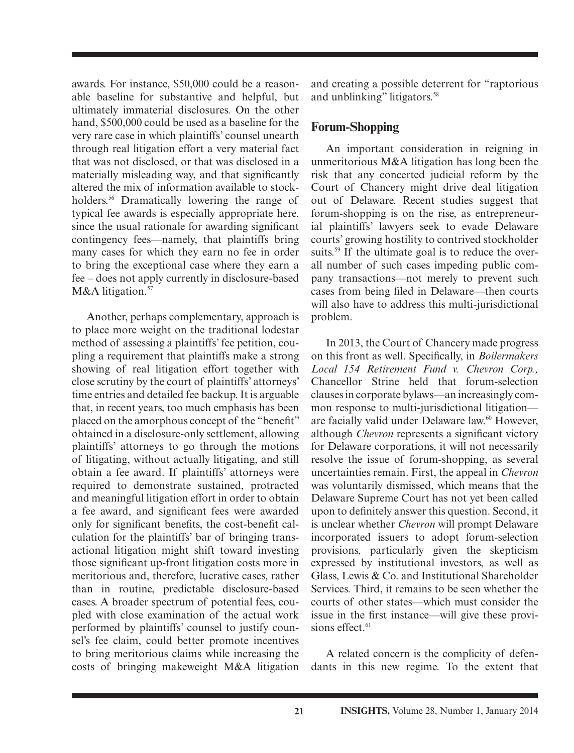awards. For instance, \$50,000 could be a reasonable baseline for substantive and helpful, but ultimately immaterial disclosures. On the other hand, \$500,000 could be used as a baseline for the very rare case in which plaintiffs' counsel unearth through real litigation effort a very material fact that was not disclosed, or that was disclosed in a materially misleading way, and that significantly altered the mix of information available to stockholders.<sup>56</sup> Dramatically lowering the range of typical fee awards is especially appropriate here, since the usual rationale for awarding significant contingency fees—namely, that plaintiffs bring many cases for which they earn no fee in order to bring the exceptional case where they earn a fee – does not apply currently in disclosure-based M&A litigation.<sup>57</sup>

 Another, perhaps complementary, approach is to place more weight on the traditional lodestar method of assessing a plaintiffs' fee petition, coupling a requirement that plaintiffs make a strong showing of real litigation effort together with close scrutiny by the court of plaintiffs' attorneys' time entries and detailed fee backup. It is arguable that, in recent years, too much emphasis has been placed on the amorphous concept of the "benefit" obtained in a disclosure-only settlement, allowing plaintiffs' attorneys to go through the motions of litigating, without actually litigating, and still obtain a fee award. If plaintiffs' attorneys were required to demonstrate sustained, protracted and meaningful litigation effort in order to obtain a fee award, and significant fees were awarded only for significant benefits, the cost-benefit calculation for the plaintiffs' bar of bringing transactional litigation might shift toward investing those significant up-front litigation costs more in meritorious and, therefore, lucrative cases, rather than in routine, predictable disclosure-based cases. A broader spectrum of potential fees, coupled with close examination of the actual work performed by plaintiffs' counsel to justify counsel's fee claim, could better promote incentives to bring meritorious claims while increasing the costs of bringing makeweight M&A litigation and creating a possible deterrent for "raptorious and unblinking" litigators. 58

#### **Forum-Shopping**

 An important consideration in reigning in unmeritorious M&A litigation has long been the risk that any concerted judicial reform by the Court of Chancery might drive deal litigation out of Delaware. Recent studies suggest that forum-shopping is on the rise, as entrepreneurial plaintiffs' lawyers seek to evade Delaware courts' growing hostility to contrived stockholder suits.<sup>59</sup> If the ultimate goal is to reduce the overall number of such cases impeding public company transactions—not merely to prevent such cases from being filed in Delaware—then courts will also have to address this multi-jurisdictional problem.

 In 2013, the Court of Chancery made progress on this front as well. Specifically, in *Boilermakers Local 154 Retirement Fund v. Chevron Corp.,*  Chancellor Strine held that forum-selection clauses in corporate bylaws—an increasingly common response to multi-jurisdictional litigation are facially valid under Delaware law.<sup>60</sup> However, although *Chevron* represents a significant victory for Delaware corporations, it will not necessarily resolve the issue of forum-shopping, as several uncertainties remain. First, the appeal in *Chevron* was voluntarily dismissed, which means that the Delaware Supreme Court has not yet been called upon to definitely answer this question. Second, it is unclear whether *Chevron* will prompt Delaware incorporated issuers to adopt forum-selection provisions, particularly given the skepticism expressed by institutional investors, as well as Glass, Lewis & Co. and Institutional Shareholder Services. Third, it remains to be seen whether the courts of other states—which must consider the issue in the first instance—will give these provisions effect.<sup>61</sup>

 A related concern is the complicity of defendants in this new regime. To the extent that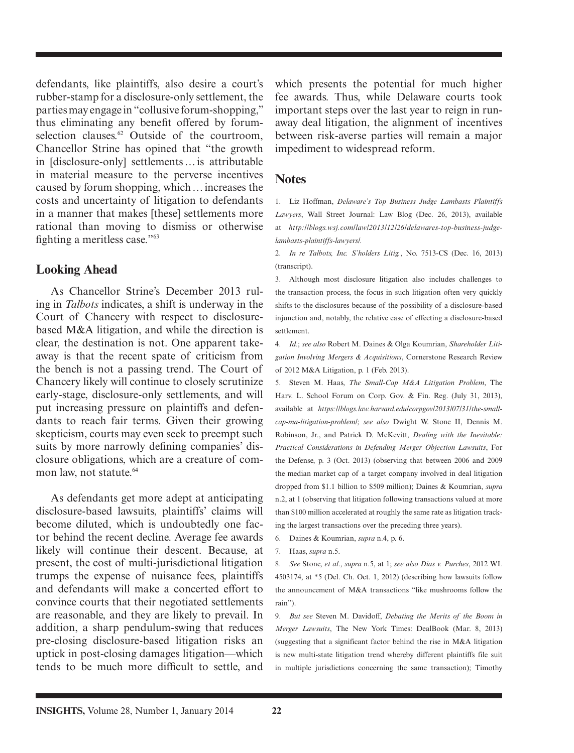defendants, like plaintiffs, also desire a court's rubber-stamp for a disclosure-only settlement, the parties may engage in "collusive forum-shopping," thus eliminating any benefit offered by forumselection clauses. $62$  Outside of the courtroom, Chancellor Strine has opined that "the growth in [disclosure-only] settlements … is attributable in material measure to the perverse incentives caused by forum shopping, which … increases the costs and uncertainty of litigation to defendants in a manner that makes [these] settlements more rational than moving to dismiss or otherwise fighting a meritless case."<sup>63</sup>

#### **Looking Ahead**

 As Chancellor Strine's December 2013 ruling in *Talbots* indicates, a shift is underway in the Court of Chancery with respect to disclosurebased M&A litigation, and while the direction is clear, the destination is not. One apparent takeaway is that the recent spate of criticism from the bench is not a passing trend. The Court of Chancery likely will continue to closely scrutinize early-stage, disclosure-only settlements, and will put increasing pressure on plaintiffs and defendants to reach fair terms. Given their growing skepticism, courts may even seek to preempt such suits by more narrowly defining companies' disclosure obligations, which are a creature of common law, not statute. 64

 As defendants get more adept at anticipating disclosure-based lawsuits, plaintiffs' claims will become diluted, which is undoubtedly one factor behind the recent decline. Average fee awards likely will continue their descent. Because, at present, the cost of multi-jurisdictional litigation trumps the expense of nuisance fees, plaintiffs and defendants will make a concerted effort to convince courts that their negotiated settlements are reasonable, and they are likely to prevail. In addition, a sharp pendulum-swing that reduces pre-closing disclosure-based litigation risks an uptick in post-closing damages litigation—which tends to be much more difficult to settle, and

which presents the potential for much higher fee awards. Thus, while Delaware courts took important steps over the last year to reign in runaway deal litigation, the alignment of incentives between risk-averse parties will remain a major impediment to widespread reform.

#### **Notes**

 1. Liz Hoffman, *Delaware's Top Business Judge Lambasts Plaintiffs*  Lawyers, Wall Street Journal: Law Blog (Dec. 26, 2013), available at *http://blogs.wsj.com/law/2013/12/26/delawares-top-business-judgelambasts-plaintiffs-lawyers/.*

 2. *In re Talbots, Inc. S'holders Litig.* , No. 7513-CS (Dec. 16, 2013) (transcript).

 3. Although most disclosure litigation also includes challenges to the transaction process, the focus in such litigation often very quickly shifts to the disclosures because of the possibility of a disclosure-based injunction and, notably, the relative ease of effecting a disclosure-based settlement.

 4. *Id.* ; *see also* Robert M. Daines & Olga Koumrian, *Shareholder Litigation Involving Mergers & Acquisitions* , Cornerstone Research Review of 2012 M&A Litigation, p. 1 (Feb. 2013).

5. Steven M. Haas, *The Small-Cap M&A Litigation Problem*, The Harv. L. School Forum on Corp. Gov. & Fin. Reg. (July 31, 2013), available at *https://blogs.law.harvard.edu/corpgov/2013/07/31/the-smallcap-ma-litigation-problem/*; *see also* Dwight W. Stone II, Dennis M. Robinson, Jr., and Patrick D. McKevitt, *Dealing with the Inevitable: Practical Considerations in Defending Merger Objection Lawsuits* , For the Defense, p. 3 (Oct. 2013) (observing that between 2006 and 2009 the median market cap of a target company involved in deal litigation dropped from \$1.1 billion to \$509 million); Daines & Koumrian, *supra* n.2, at 1 (observing that litigation following transactions valued at more than \$100 million accelerated at roughly the same rate as litigation tracking the largest transactions over the preceding three years).

- 6. Daines & Koumrian, *supra* n.4, p. 6.
- 7. Haas, *supra* n.5.

 8. *See* Stone, *et al*., *supra* n.5, at 1; *see also Dias v. Purches* , 2012 WL 4503174, at \*5 (Del. Ch. Oct. 1, 2012) (describing how lawsuits follow the announcement of M&A transactions "like mushrooms follow the rain").

 9. *But see* Steven M. Davidoff, *Debating the Merits of the Boom in Merger Lawsuits*, The New York Times: DealBook (Mar. 8, 2013) (suggesting that a significant factor behind the rise in M&A litigation is new multi-state litigation trend whereby different plaintiffs file suit in multiple jurisdictions concerning the same transaction); Timothy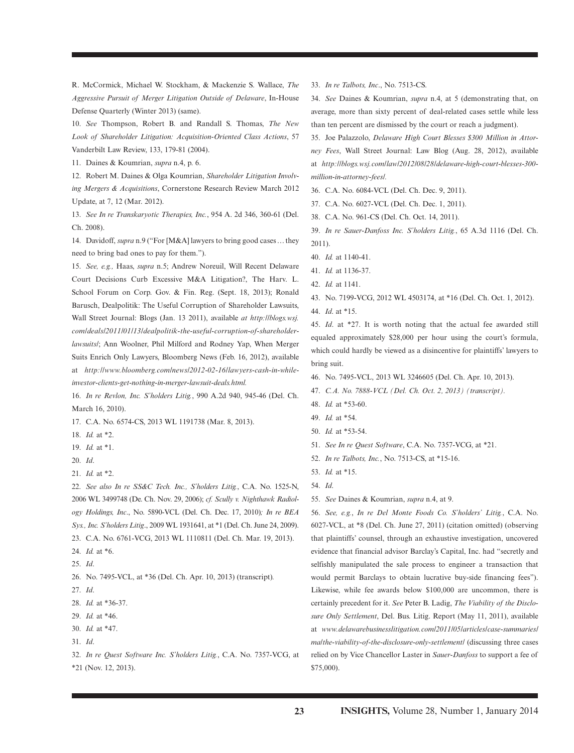R. McCormick, Michael W. Stockham, & Mackenzie S. Wallace, *The Aggressive Pursuit of Merger Litigation Outside of Delaware* , In-House Defense Quarterly (Winter 2013) (same).

 10. *See* Thompson, Robert B. and Randall S. Thomas, *The New Look of Shareholder Litigation: Acquisition-Oriented Class Actions*, 57 Vanderbilt Law Review, 133, 179-81 (2004).

11. Daines & Koumrian, *supra* n.4, p. 6.

 12. Robert M. Daines & Olga Koumrian, *Shareholder Litigation Involving Mergers & Acquisitions* , Cornerstone Research Review March 2012 Update, at 7, 12 (Mar. 2012).

 13. *See In re Transkaryotic Therapies, Inc.* , 954 A. 2d 346, 360-61 (Del. Ch. 2008).

 14. Davidoff, *supra* n.9 ("For [M&A] lawyers to bring good cases … they need to bring bad ones to pay for them.").

 15. *See, e.g.,* Haas, *supra* n.5; Andrew Noreuil, Will Recent Delaware Court Decisions Curb Excessive M&A Litigation?, The Harv. L. School Forum on Corp. Gov. & Fin. Reg. (Sept. 18, 2013); Ronald Barusch, Dealpolitik: The Useful Corruption of Shareholder Lawsuits, Wall Street Journal: Blogs (Jan. 13 2011), available *at http://blogs.wsj. com/deals/2011/01/13/dealpolitik-the-useful-corruption-of-shareholderlawsuits/*; Ann Woolner, Phil Milford and Rodney Yap, When Merger Suits Enrich Only Lawyers, Bloomberg News (Feb. 16, 2012), available at *http://www.bloomberg.com/news/2012-02-16/lawyers-cash-in-whileinvestor-clients-get-nothing-in-merger-lawsuit-deals.html.*

 16. *In re Revlon, Inc. S'holders Litig.* , 990 A.2d 940, 945-46 (Del. Ch. March 16, 2010).

17. C.A. No. 6574-CS, 2013 WL 1191738 (Mar. 8, 2013).

- 18. *Id.* at \*2.
- 19. *Id.* at \*1.
- 20. *Id*.
- 21. *Id.* at \*2.

22. *See also In re SS&C Tech. Inc., S'holders Litig., C.A. No. 1525-N,* 2006 WL 3499748 (De. Ch. Nov. 29, 2006); *cf. Scully v. Nighthawk Radiology Holdings, Inc*., No. 5890-VCL (Del. Ch. Dec. 17, 2010) *; In re BEA Sys., Inc. S'holders Litig*., 2009 WL 1931641 , at \*1 (Del. Ch. June 24, 2009). 23. C.A. No. 6761-VCG, 2013 WL 1110811 (Del. Ch. Mar. 19, 2013).

24. *Id.* at \*6.

26. No. 7495-VCL, at \*36 (Del. Ch. Apr. 10, 2013) (transcript)*.*

- 27. *Id*.
- 28. *Id.* at \*36-37.
- 29. *Id.* at \*46.
- 30. *Id.* at \*47.
- 31. *Id*.

 32. *In re Quest Software Inc. S'holders Litig.* , C.A. No. 7357-VCG, at \*21 (Nov. 12, 2013).

33. *In re Talbots, Inc*., No. 7513-CS.

 34. *See* Daines & Koumrian, *supra* n.4, at 5 (demonstrating that, on average, more than sixty percent of deal-related cases settle while less than ten percent are dismissed by the court or reach a judgment).

 35. Joe Palazzolo, *Delaware High Court Blesses \$300 Million in Attorney Fees* , Wall Street Journal: Law Blog (Aug. 28, 2012), available at *http://blogs.wsj.com/law/2012/08/28/delaware-high-court-blesses-300 million-in-attorney-fees/.*

- 36. C.A. No. 6084-VCL (Del. Ch. Dec. 9, 2011).
- 37. C.A. No. 6027-VCL (Del. Ch. Dec. 1, 2011).
- 38. C.A. No. 961-CS (Del. Ch. Oct. 14, 2011).

 39. *In re Sauer-Danfoss Inc. S'holders Litig.*, 65 A.3d 1116 (Del. Ch. 2011).

- 40. *Id.* at 1140-41.
- 41. *Id.* at 1136-37.
- 42. *Id.* at 1141.
- 43. No. 7199-VCG, 2012 WL 4503174, at \*16 (Del. Ch. Oct. 1, 2012). 44. *Id*. at \*15.

45. *Id*. at \*27. It is worth noting that the actual fee awarded still equaled approximately \$28,000 per hour using the court's formula, which could hardly be viewed as a disincentive for plaintiffs' lawyers to bring suit.

- 46. No. 7495-VCL, 2013 WL 3246605 (Del. Ch. Apr. 10, 2013).
- 47. *C.A. No. 7888-VCL (Del. Ch. Oct. 2, 2013) (transcript).*
- 48. *Id.* at \*53-60.
- 49. *Id.* at \*54.
- 50. *Id.* at \*53-54.
- 51. *See In re Quest Software* , C.A. No. 7357-VCG, at \*21.
- 52. *In re Talbots, Inc.* , No. 7513-CS, at \*15-16.
- 53. *Id.* at \*15.
- 54. *Id*.
- 55. *See* Daines & Koumrian, *supra* n.4, at 9.

 56. *See, e.g.* , *In re Del Monte Foods Co. S'holders' Litig.* , C.A. No. 6027-VCL, at \*8 (Del. Ch. June 27, 2011) (citation omitted) (observing that plaintiffs' counsel, through an exhaustive investigation, uncovered evidence that financial advisor Barclay's Capital, Inc. had "secretly and selfishly manipulated the sale process to engineer a transaction that would permit Barclays to obtain lucrative buy-side financing fees"). Likewise, while fee awards below \$100,000 are uncommon, there is certainly precedent for it. *See* Peter B. Ladig, *The Viability of the Disclo*sure Only Settlement, Del. Bus. Litig. Report (May 11, 2011), available at *www.delawarebusinesslitigation.com/2011/05/articles/case-summaries/ ma/the-viability-of-the-disclosure-only-settlement/* (discussing three cases relied on by Vice Chancellor Laster in *Sauer-Danfoss* to support a fee of \$75,000).

 <sup>25.</sup> *Id*.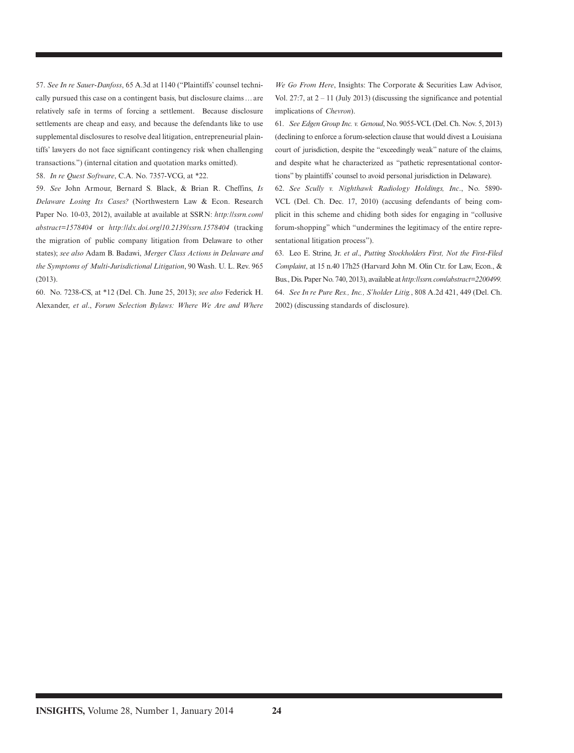57. *See In re Sauer-Danfoss*, 65 A.3d at 1140 ("Plaintiffs' counsel technically pursued this case on a contingent basis, but disclosure claims … are relatively safe in terms of forcing a settlement. Because disclosure settlements are cheap and easy, and because the defendants like to use supplemental disclosures to resolve deal litigation, entrepreneurial plaintiffs' lawyers do not face significant contingency risk when challenging transactions.") (internal citation and quotation marks omitted).

58. *In re Quest Software* , C.A. No. 7357-VCG, at \*22.

 59. *See* John Armour, Bernard S. Black, & Brian R. Cheffins, *Is Delaware Losing Its Cases?* (Northwestern Law & Econ. Research Paper No. 10-03, 2012), available at available at SSRN: *http://ssrn.com/ abstract=1578404* or *http://dx.doi.org/10.2139/ssrn.1578404* (tracking the migration of public company litigation from Delaware to other states); *see also* Adam B. Badawi, *Merger Class Actions in Delaware and the Symptoms of Multi-Jurisdictional Litigation* , 90 Wash. U. L. Rev. 965 (2013).

 60. No. 7238-CS, at \*12 (Del. Ch. June 25, 2013); *see also* Federick H. Alexander, *et al*., *Forum Selection Bylaws: Where We Are and Where* 

We Go From Here, Insights: The Corporate & Securities Law Advisor, Vol. 27:7, at  $2 - 11$  (July 2013) (discussing the significance and potential implications of *Chevron*).

 61. *See Edgen Group Inc. v. Genoud* , No. 9055-VCL (Del. Ch. Nov. 5, 2013) (declining to enforce a forum-selection clause that would divest a Louisiana court of jurisdiction, despite the "exceedingly weak" nature of the claims, and despite what he characterized as "pathetic representational contortions" by plaintiffs' counsel to avoid personal jurisdiction in Delaware).

 62. *See Scully v. Nighthawk Radiology Holdings, Inc*., No. 5890- VCL (Del. Ch. Dec. 17, 2010) (accusing defendants of being complicit in this scheme and chiding both sides for engaging in "collusive forum-shopping" which "undermines the legitimacy of the entire representational litigation process").

 63. Leo E. Strine, Jr. *et al*., *Putting Stockholders First, Not the First-Filed Complaint* , at 15 n.40 17h25 (Harvard John M. Olin Ctr. for Law, Econ., & Bus., Dis. Paper No. 740, 2013), available at *http://ssrn.com/abstract=2200499.* 64. *See In re Pure Res., Inc., S'holder Litig.* , 808 A.2d 421, 449 (Del. Ch. 2002) (discussing standards of disclosure).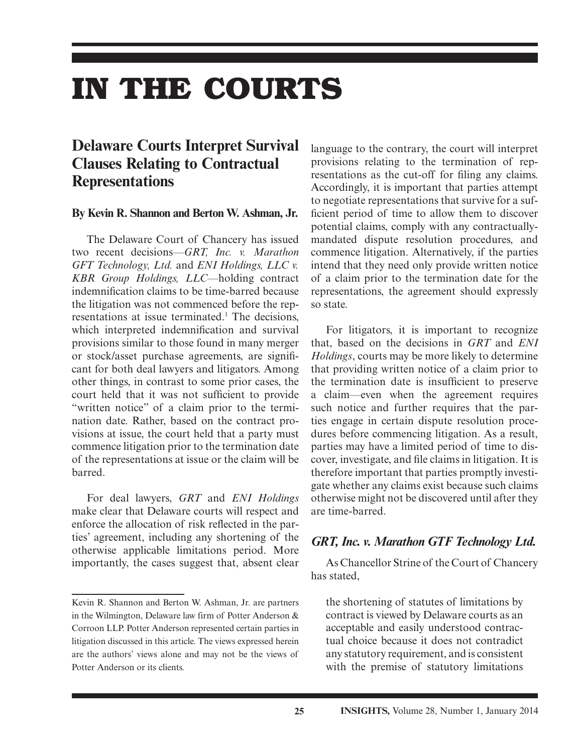# **IN THE COURTS**

## **Delaware Courts Interpret Survival Clauses Relating to Contractual Representations**

#### **By Kevin R. Shannon and Berton W. Ashman, Jr.**

The Delaware Court of Chancery has issued two recent decisions—*GRT, Inc. v. Marathon GFT Technology, Ltd.* and *ENI Holdings, LLC v. KBR Group Holdings, LLC*—holding contract indemnification claims to be time-barred because the litigation was not commenced before the representations at issue terminated.<sup>1</sup> The decisions, which interpreted indemnification and survival provisions similar to those found in many merger or stock/asset purchase agreements, are significant for both deal lawyers and litigators. Among other things, in contrast to some prior cases, the court held that it was not sufficient to provide "written notice" of a claim prior to the termination date. Rather, based on the contract provisions at issue, the court held that a party must commence litigation prior to the termination date of the representations at issue or the claim will be barred.

For deal lawyers, *GRT* and *ENI Holdings* make clear that Delaware courts will respect and enforce the allocation of risk reflected in the parties' agreement, including any shortening of the otherwise applicable limitations period. More importantly, the cases suggest that, absent clear language to the contrary, the court will interpret provisions relating to the termination of representations as the cut-off for filing any claims. Accordingly, it is important that parties attempt to negotiate representations that survive for a sufficient period of time to allow them to discover potential claims, comply with any contractuallymandated dispute resolution procedures, and commence litigation. Alternatively, if the parties intend that they need only provide written notice of a claim prior to the termination date for the representations, the agreement should expressly so state.

For litigators, it is important to recognize that, based on the decisions in *GRT* and *ENI Holdings*, courts may be more likely to determine that providing written notice of a claim prior to the termination date is insufficient to preserve a claim—even when the agreement requires such notice and further requires that the parties engage in certain dispute resolution procedures before commencing litigation. As a result, parties may have a limited period of time to discover, investigate, and file claims in litigation. It is therefore important that parties promptly investigate whether any claims exist because such claims otherwise might not be discovered until after they are time-barred.

#### *GRT, Inc. v. Marathon GTF Technology Ltd.*

As Chancellor Strine of the Court of Chancery has stated,

the shortening of statutes of limitations by contract is viewed by Delaware courts as an acceptable and easily understood contractual choice because it does not contradict any statutory requirement, and is consistent with the premise of statutory limitations

Kevin R. Shannon and Berton W. Ashman, Jr. are partners in the Wilmington, Delaware law firm of Potter Anderson & Corroon LLP. Potter Anderson represented certain parties in litigation discussed in this article. The views expressed herein are the authors' views alone and may not be the views of Potter Anderson or its clients.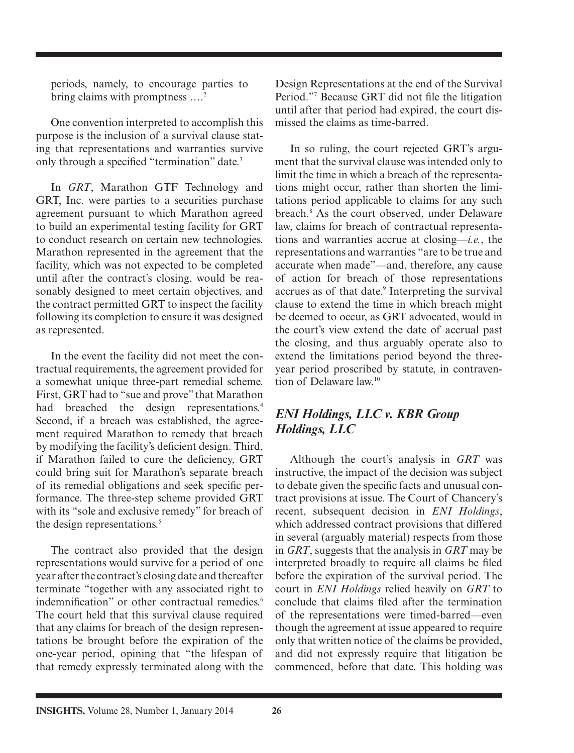periods, namely, to encourage parties to bring claims with promptness ....<sup>2</sup>

One convention interpreted to accomplish this purpose is the inclusion of a survival clause stating that representations and warranties survive only through a specified "termination" date.<sup>3</sup>

In *GRT*, Marathon GTF Technology and GRT, Inc. were parties to a securities purchase agreement pursuant to which Marathon agreed to build an experimental testing facility for GRT to conduct research on certain new technologies. Marathon represented in the agreement that the facility, which was not expected to be completed until after the contract's closing, would be reasonably designed to meet certain objectives, and the contract permitted GRT to inspect the facility following its completion to ensure it was designed as represented.

In the event the facility did not meet the contractual requirements, the agreement provided for a somewhat unique three-part remedial scheme. First, GRT had to "sue and prove" that Marathon had breached the design representations.<sup>4</sup> Second, if a breach was established, the agreement required Marathon to remedy that breach by modifying the facility's deficient design. Third, if Marathon failed to cure the deficiency, GRT could bring suit for Marathon's separate breach of its remedial obligations and seek specific performance. The three-step scheme provided GRT with its "sole and exclusive remedy" for breach of the design representations.<sup>5</sup>

The contract also provided that the design representations would survive for a period of one year after the contract's closing date and thereafter terminate "together with any associated right to indemnification" or other contractual remedies.<sup>6</sup> The court held that this survival clause required that any claims for breach of the design representations be brought before the expiration of the one-year period, opining that "the lifespan of that remedy expressly terminated along with the Design Representations at the end of the Survival Period."<sup>7</sup> Because GRT did not file the litigation until after that period had expired, the court dismissed the claims as time-barred.

In so ruling, the court rejected GRT's argument that the survival clause was intended only to limit the time in which a breach of the representations might occur, rather than shorten the limitations period applicable to claims for any such breach.<sup>8</sup> As the court observed, under Delaware law, claims for breach of contractual representations and warranties accrue at closing—*i.e.*, the representations and warranties "are to be true and accurate when made"—and, therefore, any cause of action for breach of those representations accrues as of that date.<sup>9</sup> Interpreting the survival clause to extend the time in which breach might be deemed to occur, as GRT advocated, would in the court's view extend the date of accrual past the closing, and thus arguably operate also to extend the limitations period beyond the threeyear period proscribed by statute, in contravention of Delaware law<sup>10</sup>

### *ENI Holdings, LLC v. KBR Group Holdings, LLC*

Although the court's analysis in *GRT* was instructive, the impact of the decision was subject to debate given the specific facts and unusual contract provisions at issue. The Court of Chancery's recent, subsequent decision in *ENI Holdings*, which addressed contract provisions that differed in several (arguably material) respects from those in *GRT*, suggests that the analysis in *GRT* may be interpreted broadly to require all claims be filed before the expiration of the survival period. The court in *ENI Holdings* relied heavily on *GRT* to conclude that claims filed after the termination of the representations were timed-barred—even though the agreement at issue appeared to require only that written notice of the claims be provided, and did not expressly require that litigation be commenced, before that date. This holding was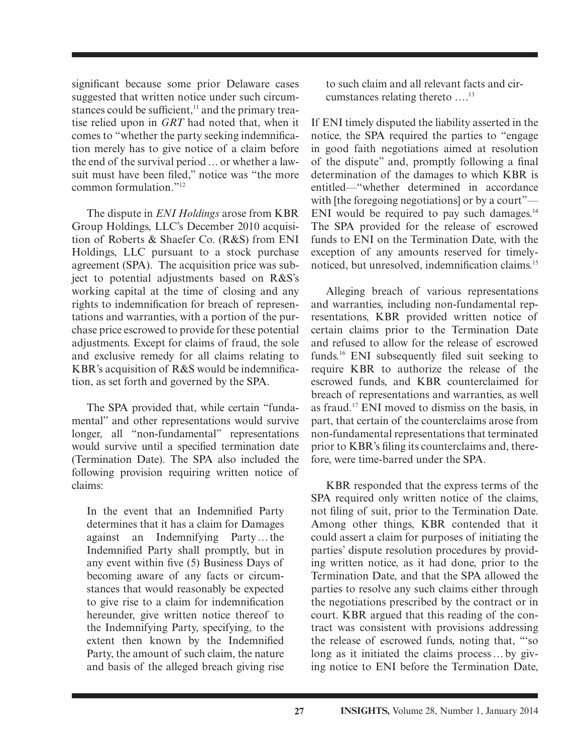significant because some prior Delaware cases suggested that written notice under such circumstances could be sufficient, $\frac{11}{11}$  and the primary treatise relied upon in *GRT* had noted that, when it comes to "whether the party seeking indemnification merely has to give notice of a claim before the end of the survival period … or whether a lawsuit must have been filed," notice was "the more common formulation."12

The dispute in *ENI Holdings* arose from KBR Group Holdings, LLC's December 2010 acquisition of Roberts & Shaefer Co. (R&S) from ENI Holdings, LLC pursuant to a stock purchase agreement (SPA). The acquisition price was subject to potential adjustments based on R&S's working capital at the time of closing and any rights to indemnification for breach of representations and warranties, with a portion of the purchase price escrowed to provide for these potential adjustments. Except for claims of fraud, the sole and exclusive remedy for all claims relating to KBR's acquisition of  $R&S$  would be indemnification, as set forth and governed by the SPA.

The SPA provided that, while certain "fundamental" and other representations would survive longer, all "non-fundamental" representations would survive until a specified termination date (Termination Date). The SPA also included the following provision requiring written notice of claims:

In the event that an Indemnified Party determines that it has a claim for Damages against an Indemnifying Party … the Indemnified Party shall promptly, but in any event within five  $(5)$  Business Days of becoming aware of any facts or circumstances that would reasonably be expected to give rise to a claim for indemnification hereunder, give written notice thereof to the Indemnifying Party, specifying, to the extent then known by the Indemnified Party, the amount of such claim, the nature and basis of the alleged breach giving rise to such claim and all relevant facts and circumstances relating thereto ....<sup>13</sup>

If ENI timely disputed the liability asserted in the notice, the SPA required the parties to "engage in good faith negotiations aimed at resolution of the dispute" and, promptly following a final determination of the damages to which KBR is entitled—"whether determined in accordance with [the foregoing negotiations] or by a court"— ENI would be required to pay such damages. $14$ The SPA provided for the release of escrowed funds to ENI on the Termination Date, with the exception of any amounts reserved for timelynoticed, but unresolved, indemnification claims.<sup>15</sup>

Alleging breach of various representations and warranties, including non-fundamental representations, KBR provided written notice of certain claims prior to the Termination Date and refused to allow for the release of escrowed funds.<sup>16</sup> ENI subsequently filed suit seeking to require KBR to authorize the release of the escrowed funds, and KBR counterclaimed for breach of representations and warranties, as well as fraud.17 ENI moved to dismiss on the basis, in part, that certain of the counterclaims arose from non- fundamental representations that terminated prior to KBR's filing its counterclaims and, therefore, were time-barred under the SPA.

KBR responded that the express terms of the SPA required only written notice of the claims, not filing of suit, prior to the Termination Date. Among other things, KBR contended that it could assert a claim for purposes of initiating the parties' dispute resolution procedures by providing written notice, as it had done, prior to the Termination Date, and that the SPA allowed the parties to resolve any such claims either through the negotiations prescribed by the contract or in court. KBR argued that this reading of the contract was consistent with provisions addressing the release of escrowed funds, noting that, "'so long as it initiated the claims process … by giving notice to ENI before the Termination Date,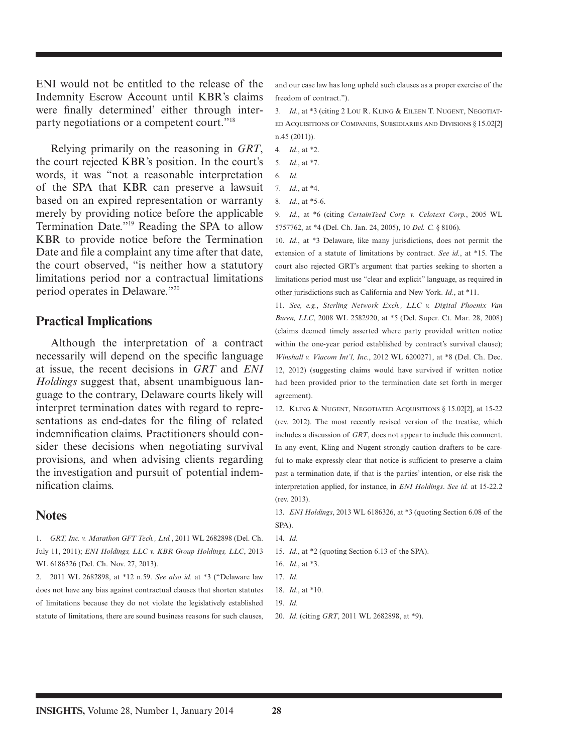ENI would not be entitled to the release of the Indemnity Escrow Account until KBR's claims were finally determined' either through interparty negotiations or a competent court."18

Relying primarily on the reasoning in *GRT*, the court rejected KBR's position. In the court's words, it was "not a reasonable interpretation of the SPA that KBR can preserve a lawsuit based on an expired representation or warranty merely by providing notice before the applicable Termination Date."19 Reading the SPA to allow KBR to provide notice before the Termination Date and file a complaint any time after that date, the court observed, "is neither how a statutory limitations period nor a contractual limitations period operates in Delaware."20

#### **Practical Implications**

Although the interpretation of a contract necessarily will depend on the specific language at issue, the recent decisions in *GRT* and *ENI Holdings* suggest that, absent unambiguous language to the contrary, Delaware courts likely will interpret termination dates with regard to representations as end-dates for the filing of related indemnification claims. Practitioners should consider these decisions when negotiating survival provisions, and when advising clients regarding the investigation and pursuit of potential indemnification claims.

#### **Notes**

1. *GRT, Inc. v. Marathon GFT Tech., Ltd.*, 2011 WL 2682898 (Del. Ch. July 11, 2011); *ENI Holdings, LLC v. KBR Group Holdings, LLC*, 2013 WL 6186326 (Del. Ch. Nov. 27, 2013).

2. 2011 WL 2682898, at \*12 n.59. *See also id.* at \*3 ("Delaware law does not have any bias against contractual clauses that shorten statutes of limitations because they do not violate the legislatively established statute of limitations, there are sound business reasons for such clauses, and our case law has long upheld such clauses as a proper exercise of the freedom of contract.").

3. *Id.*, at \*3 (citing 2 LOU R. KLING & EILEEN T. NUGENT, NEGOTIAT-ED ACQUISITIONS OF COMPANIES, SUBSIDIARIES AND DIVISIONS § 15.02[2] n.45 (2011)).

- 4. *Id.*, at \*2.
- 5. *Id.*, at \*7.
- 6. *Id.*
- 7. *Id.*, at \*4.
- 8. *Id.*, at \*5-6.

9. *Id.*, at \*6 (citing *CertainTeed Corp. v. Celotext Corp.*, 2005 WL 5757762, at \*4 (Del. Ch. Jan. 24, 2005), 10 *Del. C.* § 8106).

10. *Id.*, at \*3 Delaware, like many jurisdictions, does not permit the extension of a statute of limitations by contract. *See id.*, at \*15. The court also rejected GRT's argument that parties seeking to shorten a limitations period must use "clear and explicit" language, as required in other jurisdictions such as California and New York. *Id.*, at \*11.

11. *See, e.g.*, *Sterling Network Exch., LLC v. Digital Phoenix Van Buren, LLC*, 2008 WL 2582920, at \*5 (Del. Super. Ct. Mar. 28, 2008) (claims deemed timely asserted where party provided written notice within the one-year period established by contract's survival clause); *Winshall v. Viacom Int'l, Inc.*, 2012 WL 6200271, at \*8 (Del. Ch. Dec. 12, 2012) (suggesting claims would have survived if written notice had been provided prior to the termination date set forth in merger agreement).

12. KLING & NUGENT, NEGOTIATED ACQUISITIONS § 15.02[2], at 15-22 (rev. 2012). The most recently revised version of the treatise, which includes a discussion of *GRT*, does not appear to include this comment. In any event, Kling and Nugent strongly caution drafters to be careful to make expressly clear that notice is sufficient to preserve a claim past a termination date, if that is the parties' intention, or else risk the interpretation applied, for instance, in *ENI Holdings*. *See id.* at 15-22.2 (rev. 2013).

13. *ENI Holdings*, 2013 WL 6186326, at \*3 (quoting Section 6.08 of the SPA).

- 14. *Id.*
- 15. *Id.*, at \*2 (quoting Section 6.13 of the SPA).
- 16. *Id.*, at \*3.
- 17. *Id.* 18. *Id.*, at \*10.
- 19. *Id.*
- 20. *Id.* (citing *GRT*, 2011 WL 2682898, at \*9).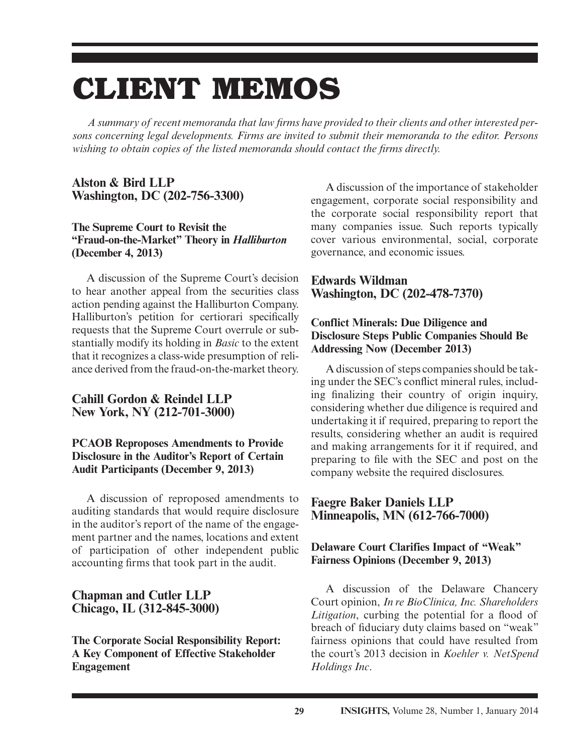## **CLIENT MEMOS**

A summary of recent memoranda that law firms have provided to their clients and other interested per*sons concerning legal developments. Firms are invited to submit their memoranda to the editor. Persons wishing to obtain copies of the listed memoranda should contact the firms directly.* 

#### **Alston & Bird LLP Washington, DC (202-756-3300)**

#### **The Supreme Court to Revisit the "Fraud-on-the-Market" Theory in** *Halliburton* **(December 4, 2013)**

 A discussion of the Supreme Court's decision to hear another appeal from the securities class action pending against the Halliburton Company. Halliburton's petition for certiorari specifically requests that the Supreme Court overrule or substantially modify its holding in *Basic* to the extent that it recognizes a class-wide presumption of reliance derived from the fraud-on-the-market theory.

#### **Cahill Gordon & Reindel LLP New York, NY (212-701-3000)**

#### **PCAOB Reproposes Amendments to Provide Disclosure in the Auditor's Report of Certain Audit Participants (December 9, 2013)**

 A discussion of reproposed amendments to auditing standards that would require disclosure in the auditor's report of the name of the engagement partner and the names, locations and extent of participation of other independent public accounting firms that took part in the audit.

#### **Chapman and Cutler LLP Chicago, IL (312-845-3000)**

 **The Corporate Social Responsibility Report: A Key Component of Effective Stakeholder Engagement** 

 A discussion of the importance of stakeholder engagement, corporate social responsibility and the corporate social responsibility report that many companies issue. Such reports typically cover various environmental, social, corporate governance, and economic issues.

#### **Edwards Wildman Washington, DC (202-478-7370)**

#### **Conflict Minerals: Due Diligence and Disclosure Steps Public Companies Should Be Addressing Now (December 2013)**

 A discussion of steps companies should be taking under the SEC's conflict mineral rules, including finalizing their country of origin inquiry, considering whether due diligence is required and undertaking it if required, preparing to report the results, considering whether an audit is required and making arrangements for it if required, and preparing to file with the SEC and post on the company website the required disclosures.

#### **Faegre Baker Daniels LLP Minneapolis, MN (612-766-7000)**

#### **Delaware Court Clarifies Impact of "Weak" Fairness Opinions (December 9, 2013)**

 A discussion of the Delaware Chancery Court opinion, *In re BioClinica, Inc. Shareholders Litigation*, curbing the potential for a flood of breach of fiduciary duty claims based on "weak" fairness opinions that could have resulted from the court's 2013 decision in *Koehler v. NetSpend Holdings Inc* .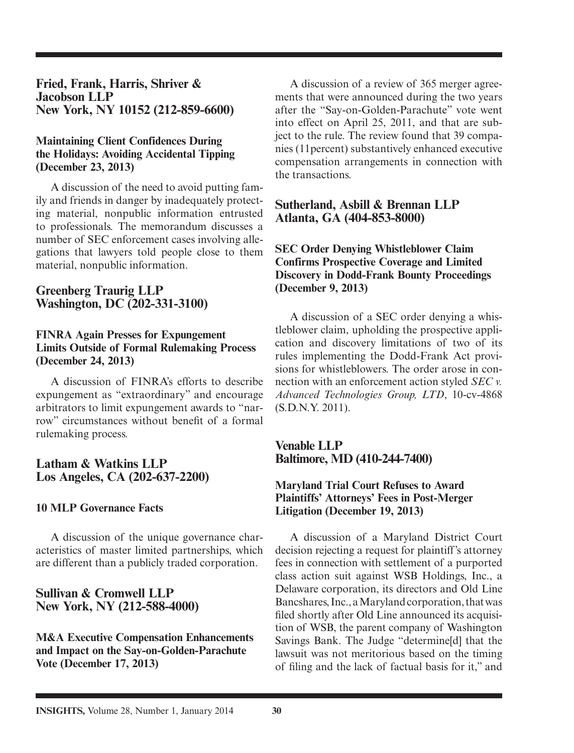**Fried, Frank, Harris, Shriver & Jacobson LLP New York, NY 10152 (212-859-6600)** 

#### **Maintaining Client Confidences During the Holidays: Avoiding Accidental Tipping (December 23, 2013)**

 A discussion of the need to avoid putting family and friends in danger by inadequately protecting material, nonpublic information entrusted to professionals. The memorandum discusses a number of SEC enforcement cases involving allegations that lawyers told people close to them material, nonpublic information.

#### **Greenberg Traurig LLP Washington, DC (202-331-3100)**

#### **FINRA Again Presses for Expungement Limits Outside of Formal Rulemaking Process (December 24, 2013)**

 A discussion of FINRA's efforts to describe expungement as "extraordinary" and encourage arbitrators to limit expungement awards to "narrow" circumstances without benefit of a formal rulemaking process.

#### **Latham & Watkins LLP Los Angeles, CA (202-637-2200)**

#### **10 MLP Governance Facts**

 A discussion of the unique governance characteristics of master limited partnerships, which are different than a publicly traded corporation.

#### **Sullivan & Cromwell LLP New York, NY (212-588-4000)**

 **M&A Executive Compensation Enhancements and Impact on the Say-on-Golden-Parachute Vote (December 17, 2013)** 

 A discussion of a review of 365 merger agreements that were announced during the two years after the "Say-on-Golden-Parachute" vote went into effect on April 25, 2011, and that are subject to the rule. The review found that 39 companies (11percent) substantively enhanced executive compensation arrangements in connection with the transactions.

#### **Sutherland, Asbill & Brennan LLP Atlanta, GA (404-853-8000)**

 **SEC Order Denying Whistleblower Claim Confirms Prospective Coverage and Limited Discovery in Dodd-Frank Bounty Proceedings (December 9, 2013)** 

 A discussion of a SEC order denying a whistleblower claim, upholding the prospective application and discovery limitations of two of its rules implementing the Dodd-Frank Act provisions for whistleblowers. The order arose in connection with an enforcement action styled *SEC v.*  Advanced Technologies Group, LTD, 10-cv-4868 (S.D.N.Y. 2011).

 **Venable LLP Baltimore, MD (410-244-7400)** 

#### **Maryland Trial Court Refuses to Award Plaintiffs' Attorneys' Fees in Post-Merger Litigation (December 19, 2013)**

 A discussion of a Maryland District Court decision rejecting a request for plaintiff's attorney fees in connection with settlement of a purported class action suit against WSB Holdings, Inc., a Delaware corporation, its directors and Old Line Bancshares, Inc., a Maryland corporation, that was filed shortly after Old Line announced its acquisition of WSB, the parent company of Washington Savings Bank. The Judge "determine[d] that the lawsuit was not meritorious based on the timing of filing and the lack of factual basis for it," and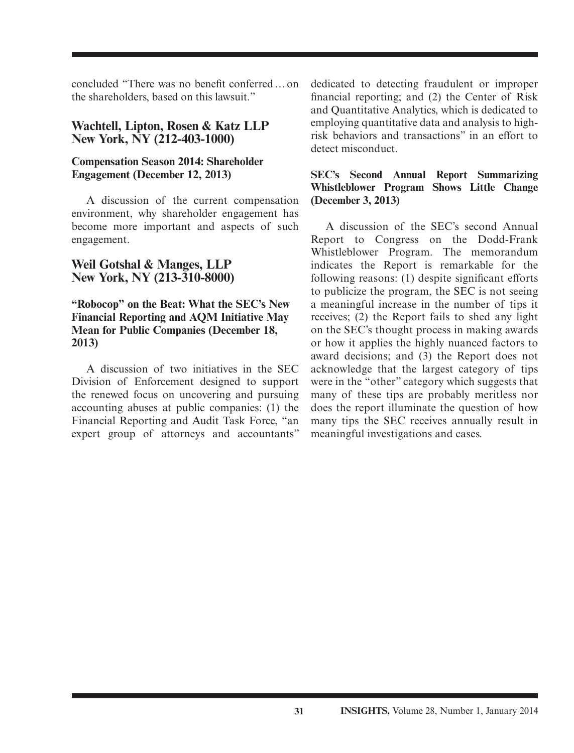concluded "There was no benefit conferred ... on the shareholders, based on this lawsuit."

#### **Wachtell, Lipton, Rosen & Katz LLP New York, NY (212-403-1000)**

#### **Compensation Season 2014: Shareholder Engagement (December 12, 2013)**

 A discussion of the current compensation environment, why shareholder engagement has become more important and aspects of such engagement.

#### **Weil Gotshal & Manges, LLP New York, NY (213-310-8000)**

#### **"Robocop" on the Beat: What the SEC's New Financial Reporting and AQM Initiative May Mean for Public Companies (December 18, 2013)**

 A discussion of two initiatives in the SEC Division of Enforcement designed to support the renewed focus on uncovering and pursuing accounting abuses at public companies: (1) the Financial Reporting and Audit Task Force, "an expert group of attorneys and accountants"

dedicated to detecting fraudulent or improper financial reporting; and  $(2)$  the Center of Risk and Quantitative Analytics, which is dedicated to employing quantitative data and analysis to highrisk behaviors and transactions" in an effort to detect misconduct.

#### **SEC's Second Annual Report Summarizing Whistleblower Program Shows Little Change (December 3, 2013)**

 A discussion of the SEC's second Annual Report to Congress on the Dodd-Frank Whistleblower Program. The memorandum indicates the Report is remarkable for the following reasons:  $(1)$  despite significant efforts to publicize the program, the SEC is not seeing a meaningful increase in the number of tips it receives; (2) the Report fails to shed any light on the SEC's thought process in making awards or how it applies the highly nuanced factors to award decisions; and (3) the Report does not acknowledge that the largest category of tips were in the "other" category which suggests that many of these tips are probably meritless nor does the report illuminate the question of how many tips the SEC receives annually result in meaningful investigations and cases.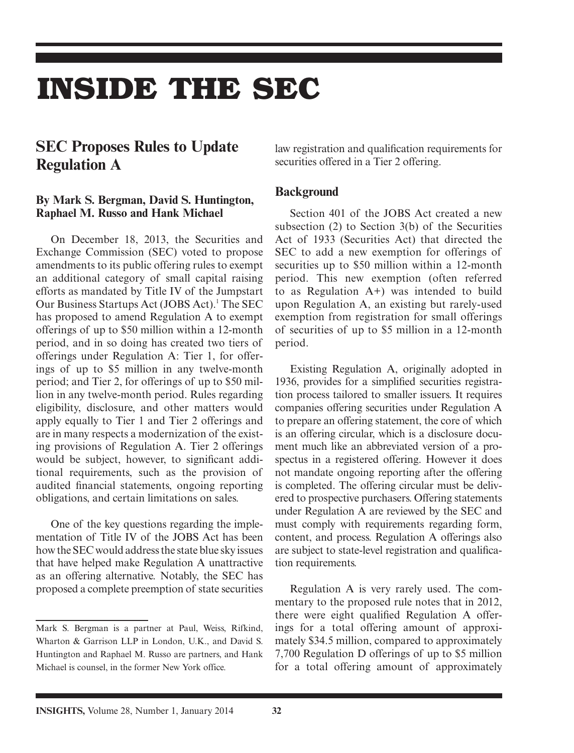## **INSIDE THE SEC**

## **SEC Proposes Rules to Update Regulation A**

#### **By Mark S. Bergman, David S. Huntington, Raphael M. Russo and Hank Michael**

On December 18, 2013, the Securities and Exchange Commission (SEC) voted to propose amendments to its public offering rules to exempt an additional category of small capital raising efforts as mandated by Title IV of the Jumpstart Our Business Startups Act (JOBS Act).<sup>1</sup> The SEC has proposed to amend Regulation A to exempt offerings of up to \$50 million within a 12-month period, and in so doing has created two tiers of offerings under Regulation A: Tier 1, for offerings of up to \$5 million in any twelve-month period; and Tier 2, for offerings of up to \$50 million in any twelve-month period. Rules regarding eligibility, disclosure, and other matters would apply equally to Tier 1 and Tier 2 offerings and are in many respects a modernization of the existing provisions of Regulation A. Tier 2 offerings would be subject, however, to significant additional requirements, such as the provision of audited financial statements, ongoing reporting obligations, and certain limitations on sales.

One of the key questions regarding the implementation of Title IV of the JOBS Act has been how the SEC would address the state blue sky issues that have helped make Regulation A unattractive as an offering alternative. Notably, the SEC has proposed a complete preemption of state securities

law registration and qualification requirements for securities offered in a Tier 2 offering.

#### **Background**

Section 401 of the JOBS Act created a new subsection (2) to Section 3(b) of the Securities Act of 1933 (Securities Act) that directed the SEC to add a new exemption for offerings of securities up to \$50 million within a 12-month period. This new exemption (often referred to as Regulation  $A+$ ) was intended to build upon Regulation A, an existing but rarely-used exemption from registration for small offerings of securities of up to \$5 million in a 12-month period.

Existing Regulation A, originally adopted in 1936, provides for a simplified securities registration process tailored to smaller issuers. It requires companies offering securities under Regulation A to prepare an offering statement, the core of which is an offering circular, which is a disclosure document much like an abbreviated version of a prospectus in a registered offering. However it does not mandate ongoing reporting after the offering is completed. The offering circular must be delivered to prospective purchasers. Offering statements under Regulation A are reviewed by the SEC and must comply with requirements regarding form, content, and process. Regulation A offerings also are subject to state-level registration and qualification requirements.

Regulation A is very rarely used. The commentary to the proposed rule notes that in 2012, there were eight qualified Regulation A offerings for a total offering amount of approximately \$34.5 million, compared to approximately 7,700 Regulation D offerings of up to \$5 million for a total offering amount of approximately

Mark S. Bergman is a partner at Paul, Weiss, Rifkind, Wharton & Garrison LLP in London, U.K., and David S. Huntington and Raphael M. Russo are partners, and Hank Michael is counsel, in the former New York office.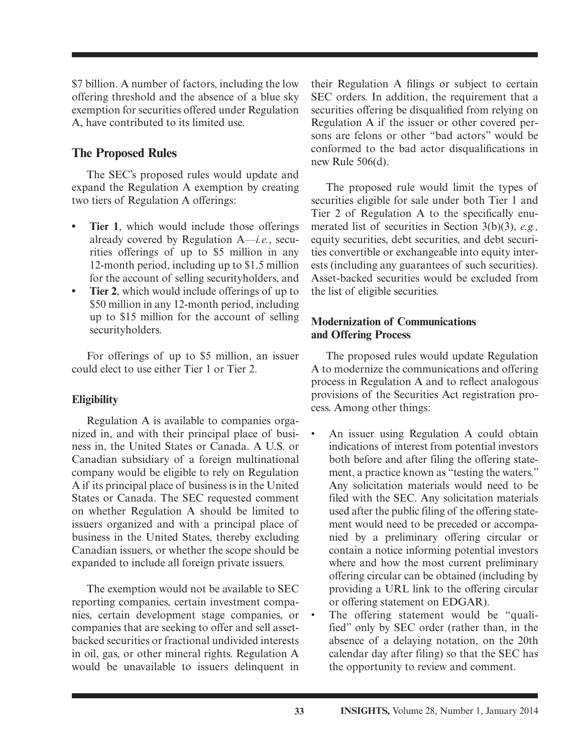\$7 billion. A number of factors, including the low offering threshold and the absence of a blue sky exemption for securities offered under Regulation A, have contributed to its limited use.

### **The Proposed Rules**

The SEC's proposed rules would update and expand the Regulation A exemption by creating two tiers of Regulation A offerings:

- **Tier 1**, which would include those offerings already covered by Regulation A—*i.e.*, securities offerings of up to \$5 million in any 12-month period, including up to \$1.5 million for the account of selling securityholders, and
- **Tier 2**, which would include offerings of up to \$50 million in any 12-month period, including up to \$15 million for the account of selling securityholders.

For offerings of up to \$5 million, an issuer could elect to use either Tier 1 or Tier 2.

#### **Eligibility**

Regulation A is available to companies organized in, and with their principal place of business in, the United States or Canada. A U.S. or Canadian subsidiary of a foreign multinational company would be eligible to rely on Regulation A if its principal place of business is in the United States or Canada. The SEC requested comment on whether Regulation A should be limited to issuers organized and with a principal place of business in the United States, thereby excluding Canadian issuers, or whether the scope should be expanded to include all foreign private issuers.

The exemption would not be available to SEC reporting companies, certain investment companies, certain development stage companies, or companies that are seeking to offer and sell assetbacked securities or fractional undivided interests in oil, gas, or other mineral rights. Regulation A would be unavailable to issuers delinquent in

their Regulation A filings or subject to certain SEC orders. In addition, the requirement that a securities offering be disqualified from relying on Regulation A if the issuer or other covered persons are felons or other "bad actors" would be conformed to the bad actor disqualifications in new Rule 506(d).

The proposed rule would limit the types of securities eligible for sale under both Tier 1 and Tier 2 of Regulation A to the specifically enumerated list of securities in Section 3(b)(3), *e.g.,* equity securities, debt securities, and debt securities convertible or exchangeable into equity interests (including any guarantees of such securities). Asset-backed securities would be excluded from the list of eligible securities.

#### **Modernization of Communications and Offering Process**

The proposed rules would update Regulation A to modernize the communications and offering process in Regulation A and to reflect analogous provisions of the Securities Act registration process. Among other things:

- An issuer using Regulation A could obtain indications of interest from potential investors both before and after filing the offering statement, a practice known as "testing the waters." Any solicitation materials would need to be filed with the SEC. Any solicitation materials used after the public filing of the offering statement would need to be preceded or accompanied by a preliminary offering circular or contain a notice informing potential investors where and how the most current preliminary offering circular can be obtained (including by providing a URL link to the offering circular or offering statement on EDGAR).
- The offering statement would be "qualified" only by SEC order (rather than, in the absence of a delaying notation, on the 20th calendar day after filing) so that the SEC has the opportunity to review and comment.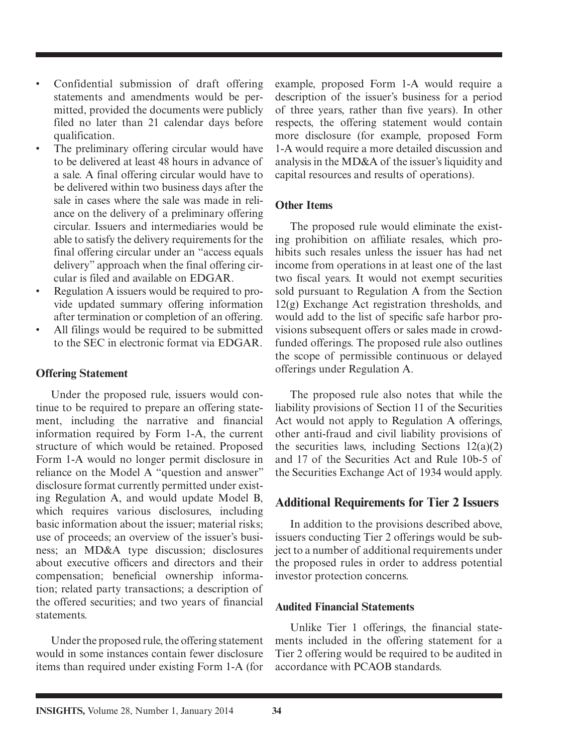- Confidential submission of draft offering statements and amendments would be permitted, provided the documents were publicly filed no later than 21 calendar days before qualification.
- The preliminary offering circular would have to be delivered at least 48 hours in advance of a sale. A final offering circular would have to be delivered within two business days after the sale in cases where the sale was made in reliance on the delivery of a preliminary offering circular. Issuers and intermediaries would be able to satisfy the delivery requirements for the final offering circular under an "access equals delivery" approach when the final offering circular is filed and available on EDGAR.
- Regulation A issuers would be required to provide updated summary offering information after termination or completion of an offering.
- All filings would be required to be submitted to the SEC in electronic format via EDGAR.

#### **Offering Statement**

Under the proposed rule, issuers would continue to be required to prepare an offering statement, including the narrative and financial information required by Form 1-A, the current structure of which would be retained. Proposed Form 1-A would no longer permit disclosure in reliance on the Model A "question and answer" disclosure format currently permitted under existing Regulation A, and would update Model B, which requires various disclosures, including basic information about the issuer; material risks; use of proceeds; an overview of the issuer's business; an MD&A type discussion; disclosures about executive officers and directors and their compensation; beneficial ownership information; related party transactions; a description of the offered securities; and two years of financial statements.

Under the proposed rule, the offering statement would in some instances contain fewer disclosure items than required under existing Form 1-A (for example, proposed Form 1-A would require a description of the issuer's business for a period of three years, rather than five years). In other respects, the offering statement would contain more disclosure (for example, proposed Form 1-A would require a more detailed discussion and analysis in the MD&A of the issuer's liquidity and capital resources and results of operations).

#### **Other Items**

The proposed rule would eliminate the existing prohibition on affiliate resales, which prohibits such resales unless the issuer has had net income from operations in at least one of the last two fiscal years. It would not exempt securities sold pursuant to Regulation A from the Section 12(g) Exchange Act registration thresholds, and would add to the list of specific safe harbor provisions subsequent offers or sales made in crowdfunded offerings. The proposed rule also outlines the scope of permissible continuous or delayed offerings under Regulation A.

The proposed rule also notes that while the liability provisions of Section 11 of the Securities Act would not apply to Regulation A offerings, other anti-fraud and civil liability provisions of the securities laws, including Sections  $12(a)(2)$ and 17 of the Securities Act and Rule 10b-5 of the Securities Exchange Act of 1934 would apply.

#### **Additional Requirements for Tier 2 Issuers**

In addition to the provisions described above, issuers conducting Tier 2 offerings would be subject to a number of additional requirements under the proposed rules in order to address potential investor protection concerns.

#### **Audited Financial Statements**

Unlike Tier 1 offerings, the financial statements included in the offering statement for a Tier 2 offering would be required to be audited in accordance with PCAOB standards.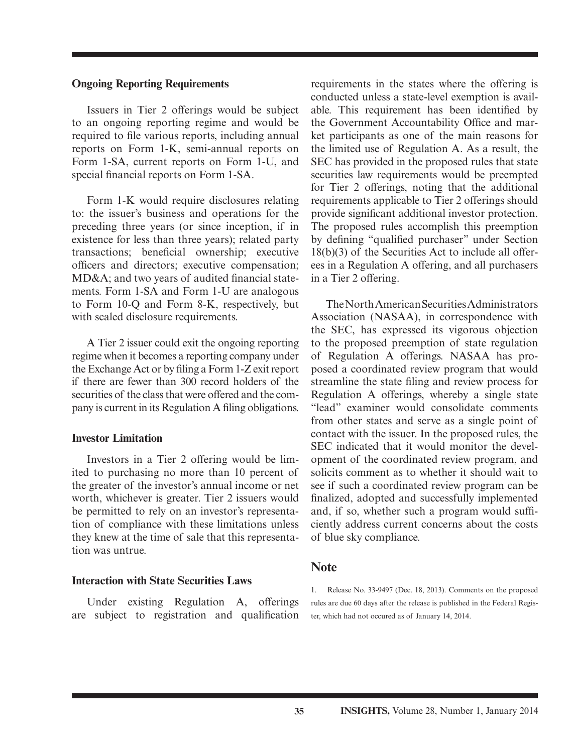#### **Ongoing Reporting Requirements**

Issuers in Tier 2 offerings would be subject to an ongoing reporting regime and would be required to file various reports, including annual reports on Form 1-K, semi-annual reports on Form 1-SA, current reports on Form 1-U, and special financial reports on Form 1-SA.

Form 1-K would require disclosures relating to: the issuer's business and operations for the preceding three years (or since inception, if in existence for less than three years); related party transactions; beneficial ownership; executive officers and directors; executive compensation;  $MD&A$ ; and two years of audited financial statements. Form 1-SA and Form 1-U are analogous to Form 10-Q and Form 8-K, respectively, but with scaled disclosure requirements.

A Tier 2 issuer could exit the ongoing reporting regime when it becomes a reporting company under the Exchange Act or by filing a Form 1-Z exit report if there are fewer than 300 record holders of the securities of the class that were offered and the company is current in its Regulation A filing obligations.

#### **Investor Limitation**

Investors in a Tier 2 offering would be limited to purchasing no more than 10 percent of the greater of the investor's annual income or net worth, whichever is greater. Tier 2 issuers would be permitted to rely on an investor's representation of compliance with these limitations unless they knew at the time of sale that this representation was untrue.

#### **Interaction with State Securities Laws**

Under existing Regulation A, offerings are subject to registration and qualification requirements in the states where the offering is conducted unless a state-level exemption is available. This requirement has been identified by the Government Accountability Office and market participants as one of the main reasons for the limited use of Regulation A. As a result, the SEC has provided in the proposed rules that state securities law requirements would be preempted for Tier 2 offerings, noting that the additional requirements applicable to Tier 2 offerings should provide significant additional investor protection. The proposed rules accomplish this preemption by defining "qualified purchaser" under Section 18(b)(3) of the Securities Act to include all offerees in a Regulation A offering, and all purchasers in a Tier 2 offering.

The North American Securities Administrators Association (NASAA), in correspondence with the SEC, has expressed its vigorous objection to the proposed preemption of state regulation of Regulation A offerings. NASAA has proposed a coordinated review program that would streamline the state filing and review process for Regulation A offerings, whereby a single state "lead" examiner would consolidate comments from other states and serve as a single point of contact with the issuer. In the proposed rules, the SEC indicated that it would monitor the development of the coordinated review program, and solicits comment as to whether it should wait to see if such a coordinated review program can be finalized, adopted and successfully implemented and, if so, whether such a program would sufficiently address current concerns about the costs of blue sky compliance.

#### **Note**

1. Release No. 33-9497 (Dec. 18, 2013). Comments on the proposed rules are due 60 days after the release is published in the Federal Register, which had not occured as of January 14, 2014.